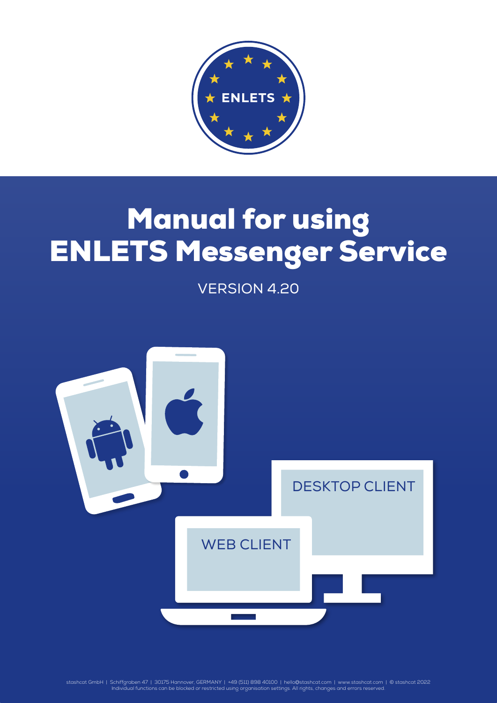

# Manual for using ENLETS Messenger Service

VERSION 4.20



stashcat GmbH | Schiffgraben 47 | 30175 Hannover, GERMANY | +49 (511) 898 40100 | [hello@stashcat.com](mailto:hello%40stashcat.com?subject=Manual) | [www.stashcat.com](http://www.stashcat.com/en) | © stashcat 2022<br>Individual functions can be blocked or restricted using organisation settings. All r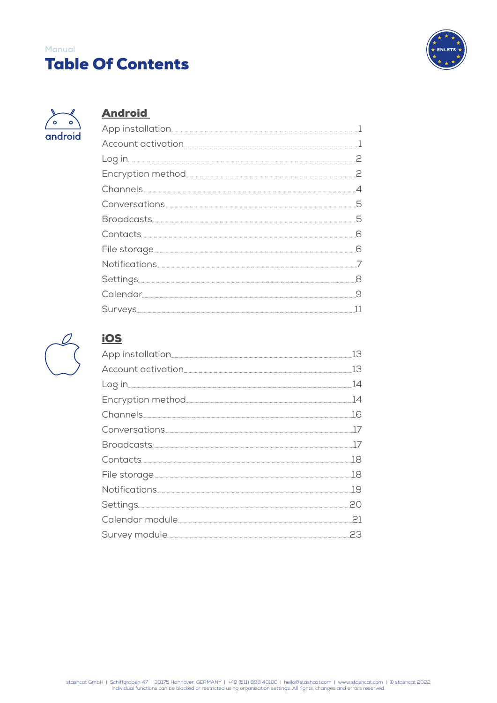# Table Of Contents **Manual**





# **[Android](#page-3-0)**



# [iOS](#page-15-0)

| .13 |
|-----|
| 13  |
| 14  |
|     |
|     |
| 17  |
| 17  |
|     |
|     |
|     |
| ,20 |
|     |
|     |
|     |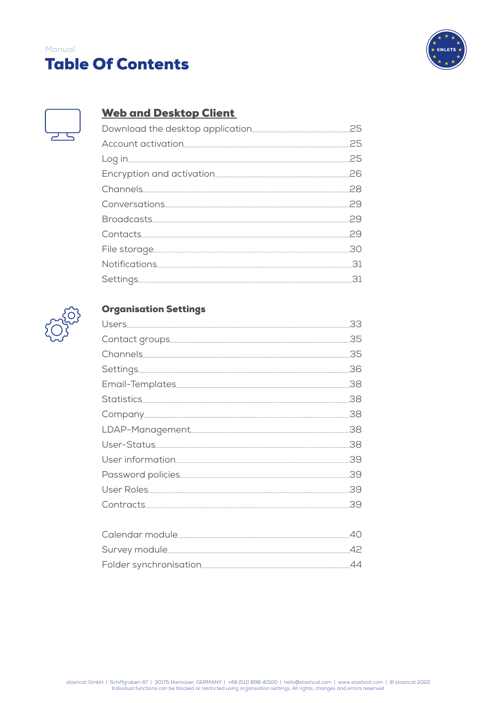# Table Of Contents **Manual**





# [Web and Desktop Client](#page-27-0)



# [Organisation Settings](#page-35-0)

| .38 |
|-----|
|     |
|     |
| .38 |
|     |
| .39 |
|     |
| .39 |
|     |
|     |
|     |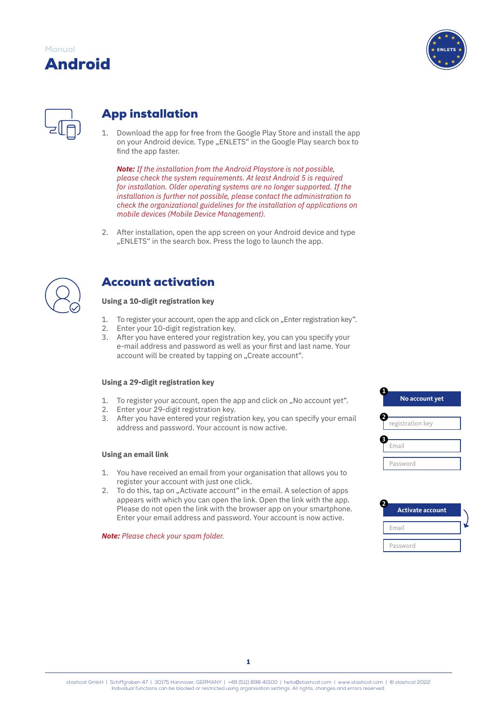

<span id="page-3-0"></span>

# App installation

1. Download the app for free from the Google Play Store and install the app on your Android device. Type "ENLETS" in the Google Play search box to find the app faster.

*Note: If the installation from the Android Playstore is not possible, please check the system requirements. At least Android 5 is required for installation. Older operating systems are no longer supported. If the installation is further not possible, please contact the administration to check the organizational guidelines for the installation of applications on mobile devices (Mobile Device Management).*

2. After installation, open the app screen on your Android device and type "ENLETS" in the search box. Press the logo to launch the app.



# Account activation

# **Using a 10-digit registration key**

- 1. To register your account, open the app and click on "Enter registration key".
- 2. Enter your 10-digit registration key.
- 3. After you have entered your registration key, you can you specify your e-mail address and password as well as your first and last name. Your account will be created by tapping on "Create account".

# **Using a 29-digit registration key**

- 1. To register your account, open the app and click on "No account yet".
- 2. Enter your 29-digit registration key.
- 3. After you have entered your registration key, you can specify your email address and password. Your account is now active.

### **Using an email link**

- 1. You have received an email from your organisation that allows you to register your account with just one click.
- 2. To do this, tap on "Activate account" in the email. A selection of apps appears with which you can open the link. Open the link with the app. Please do not open the link with the browser app on your smartphone. Enter your email address and password. Your account is now active.

### *Note: Please check your spam folder.*



| <b>Activate account</b> |  |
|-------------------------|--|
| Email                   |  |
| Password                |  |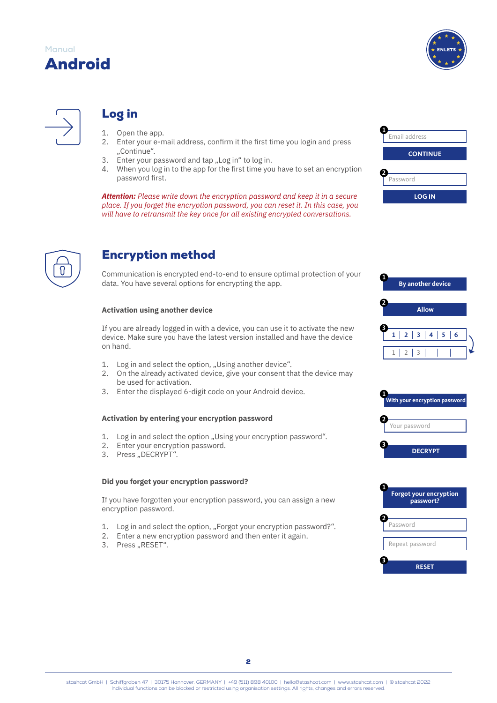

<span id="page-4-0"></span>

# Log in

- 1. Open the app.<br>2. Enter your e-n
- 2. Enter your e-mail address, confirm it the first time you login and press "Continue".
- 3. Enter your password and tap "Log in" to log in.
- 4. When you log in to the app for the first time you have to set an encryption password first.

*Attention: Please write down the encryption password and keep it in a secure place. If you forget the encryption password, you can reset it. In this case, you will have to retransmit the key once for all existing encrypted conversations.*



# Encryption method

Communication is encrypted end-to-end to ensure optimal protection of your data. You have several options for encrypting the app.

# **Activation using another device**

If you are already logged in with a device, you can use it to activate the new device. Make sure you have the latest version installed and have the device on hand.

- 1. Log in and select the option, "Using another device".
- 2. On the already activated device, give your consent that the device may be used for activation.
- 3. Enter the displayed 6-digit code on your Android device.

# **Activation by entering your encryption password**

- 1. Log in and select the option "Using your encryption password".
- 2. Enter your encryption password.
- 3. Press "DECRYPT".

#### **Did you forget your encryption password?**

If you have forgotten your encryption password, you can assign a new encryption password.

- 1. Log in and select the option, "Forgot your encryption password?".
- 2. Enter a new encryption password and then enter it again.
- 3. Press "RESET".

| Email address   |
|-----------------|
| <b>CONTINUE</b> |
| Password        |
| <b>LOG IN</b>   |





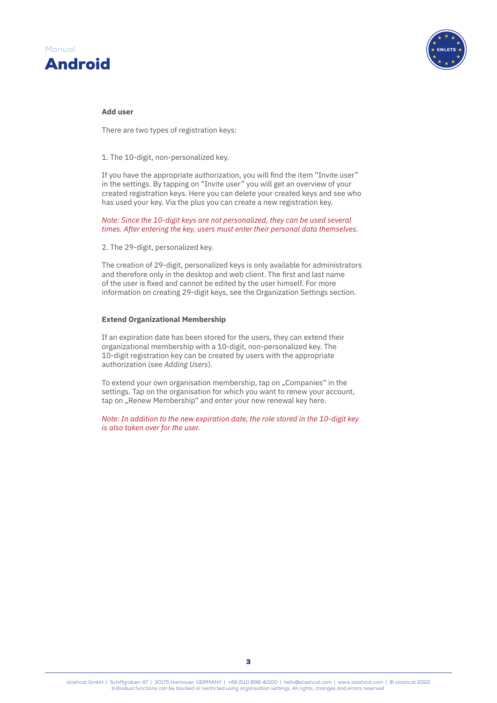

#### **Add user**

There are two types of registration keys:

1. The 10-digit, non-personalized key.

If you have the appropriate authorization, you will find the item "Invite user" in the settings. By tapping on "Invite user" you will get an overview of your created registration keys. Here you can delete your created keys and see who has used your key. Via the plus you can create a new registration key.

*Note: Since the 10-digit keys are not personalized, they can be used several times. After entering the key, users must enter their personal data themselves.*

2. The 29-digit, personalized key.

The creation of 29-digit, personalized keys is only available for administrators and therefore only in the desktop and web client. The first and last name of the user is fixed and cannot be edited by the user himself. For more information on creating 29-digit keys, see the Organization Settings section.

#### **Extend Organizational Membership**

If an expiration date has been stored for the users, they can extend their organizational membership with a 10-digit, non-personalized key. The 10-digit registration key can be created by users with the appropriate authorization (see *Adding Users*).

To extend your own organisation membership, tap on ..Companies" in the settings. Tap on the organisation for which you want to renew your account, tap on "Renew Membership" and enter your new renewal key here.

*Note: In addition to the new expiration date, the role stored in the 10-digit key is also taken over for the user.*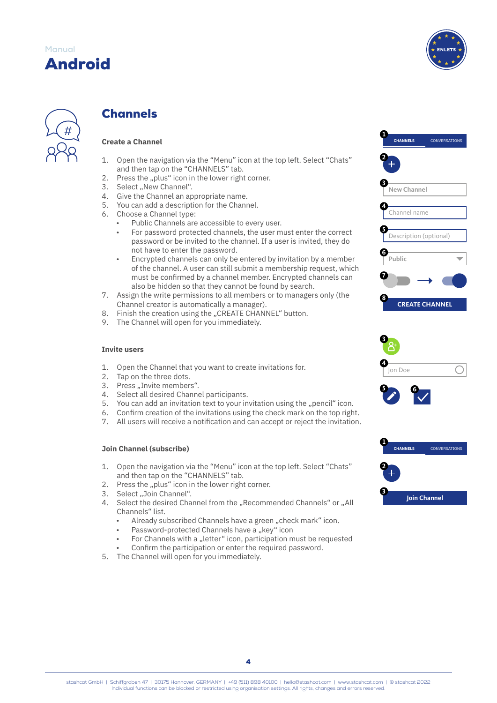

<span id="page-6-0"></span>

# **Channels**

# **Create a Channel**

- 1. Open the navigation via the "Menu" icon at the top left. Select "Chats" and then tap on the "CHANNELS" tab.
- 2. Press the "plus" icon in the lower right corner.
- 3. Select "New Channel".
- 4. Give the Channel an appropriate name.
- 5. You can add a description for the Channel.
- 6. Choose a Channel type:
	- Public Channels are accessible to every user.
	- For password protected channels, the user must enter the correct password or be invited to the channel. If a user is invited, they do not have to enter the password.
	- Encrypted channels can only be entered by invitation by a member of the channel. A user can still submit a membership request, which must be confirmed by a channel member. Encrypted channels can also be hidden so that they cannot be found by search.
- 7. Assign the write permissions to all members or to managers only (the Channel creator is automatically a manager).
- 8. Finish the creation using the "CREATE CHANNEL" button.
- 9. The Channel will open for you immediately.

#### **Invite users**

- 1. Open the Channel that you want to create invitations for.
- 2. Tap on the three dots.
- 3. Press "Invite members".
- 4. Select all desired Channel participants.
- 5. You can add an invitation text to your invitation using the "pencil" icon.
- 6. Confirm creation of the invitations using the check mark on the top right.
- 7. All users will receive a notification and can accept or reject the invitation.

#### **Join Channel (subscribe)**

- 1. Open the navigation via the "Menu" icon at the top left. Select "Chats" and then tap on the "CHANNELS" tab.
- 2. Press the "plus" icon in the lower right corner.
- 3. Select "Join Channel".
- 4. Select the desired Channel from the "Recommended Channels" or "All Channels" list.
	- Already subscribed Channels have a green "check mark" icon.
	- Password-protected Channels have a "key" icon
	- For Channels with a "letter" icon, participation must be requested
	- Confirm the participation or enter the required password.
- 5. The Channel will open for you immediately.







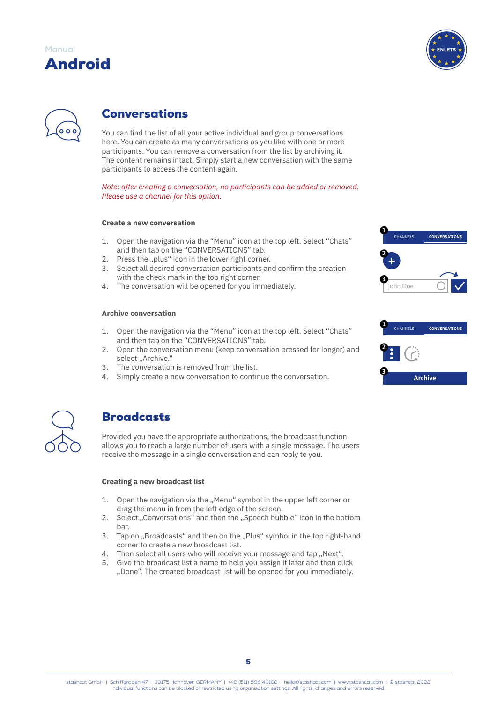

<span id="page-7-0"></span>

# Conversations

You can find the list of all your active individual and group conversations here. You can create as many conversations as you like with one or more participants. You can remove a conversation from the list by archiving it. The content remains intact. Simply start a new conversation with the same participants to access the content again.

*Note: after creating a conversation, no participants can be added or removed. Please use a channel for this option.*

# **Create a new conversation**

- 1. Open the navigation via the "Menu" icon at the top left. Select "Chats" and then tap on the "CONVERSATIONS" tab.
- 2. Press the "plus" icon in the lower right corner.
- 3. Select all desired conversation participants and confirm the creation with the check mark in the top right corner.
- 4. The conversation will be opened for you immediately.

### **Archive conversation**

- 1. Open the navigation via the "Menu" icon at the top left. Select "Chats" and then tap on the "CONVERSATIONS" tab.
- 2. Open the conversation menu (keep conversation pressed for longer) and select "Archive."
- 3. The conversation is removed from the list.
- 4. Simply create a new conversation to continue the conversation.



# **Broadcasts**

Provided you have the appropriate authorizations, the broadcast function allows you to reach a large number of users with a single message. The users receive the message in a single conversation and can reply to you.

### **Creating a new broadcast list**

- 1. Open the navigation via the "Menu" symbol in the upper left corner or drag the menu in from the left edge of the screen.
- 2. Select ..Conversations" and then the ..Speech bubble" icon in the bottom bar.
- 3. Tap on "Broadcasts" and then on the "Plus" symbol in the top right-hand corner to create a new broadcast list.
- 4. Then select all users who will receive your message and tap "Next".
- 5. Give the broadcast list a name to help you assign it later and then click "Done". The created broadcast list will be opened for you immediately.



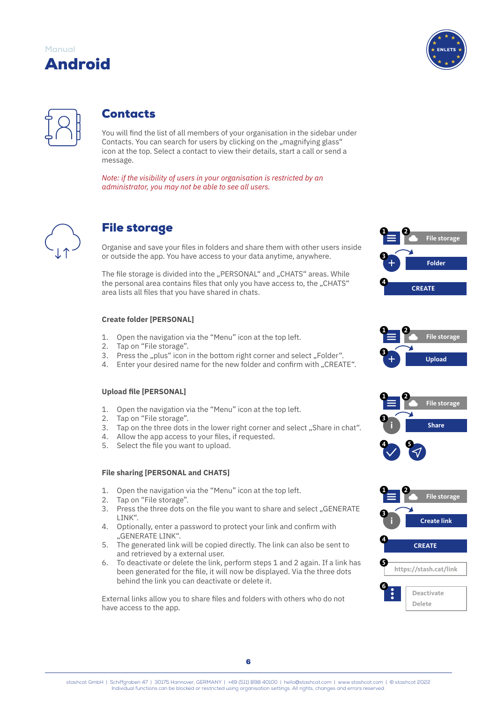

<span id="page-8-0"></span>

# **Contacts**

You will find the list of all members of your organisation in the sidebar under Contacts. You can search for users by clicking on the "magnifying glass" icon at the top. Select a contact to view their details, start a call or send a message.

*Note: if the visibility of users in your organisation is restricted by an administrator, you may not be able to see all users.*



# File storage

Organise and save your files in folders and share them with other users inside or outside the app. You have access to your data anytime, anywhere.

The file storage is divided into the "PERSONAL" and "CHATS" areas. While the personal area contains files that only you have access to, the "CHATS" area lists all files that you have shared in chats.

# **Create folder [PERSONAL]**

- 1. Open the navigation via the "Menu" icon at the top left.
- 2. Tap on "File storage".
- 3. Press the "plus" icon in the bottom right corner and select "Folder".
- 4. Enter your desired name for the new folder and confirm with "CREATE".

### **Upload file [PERSONAL]**

- 1. Open the navigation via the "Menu" icon at the top left.
- 2. Tap on "File storage".
- 3. Tap on the three dots in the lower right corner and select "Share in chat".
- 4. Allow the app access to your files, if requested.
- 5. Select the file you want to upload.

# **File sharing [PERSONAL and CHATS]**

- 1. Open the navigation via the "Menu" icon at the top left.
- 2. Tap on "File storage".
- 3. Press the three dots on the file you want to share and select "GENERATE LINK".
- 4. Optionally, enter a password to protect your link and confirm with "GENERATE LINK".
- 5. The generated link will be copied directly. The link can also be sent to and retrieved by a external user.
- 6. To deactivate or delete the link, perform steps 1 and 2 again. If a link has been generated for the file, it will now be displayed. Via the three dots behind the link you can deactivate or delete it.

External links allow you to share files and folders with others who do not have access to the app.









stashcat GmbH | Schiffgraben 47 | 30175 Hannover, GERMANY | +49 (511) 898 40100 | [hello@stashcat.com](mailto:hello%40stashcat.com?subject=Manual) | [www.stashcat.com](http://www.stashcat.com/en) | © stashcat 2022 Individual functions can be blocked or restricted using organisation settings. All rights, changes and errors reserved.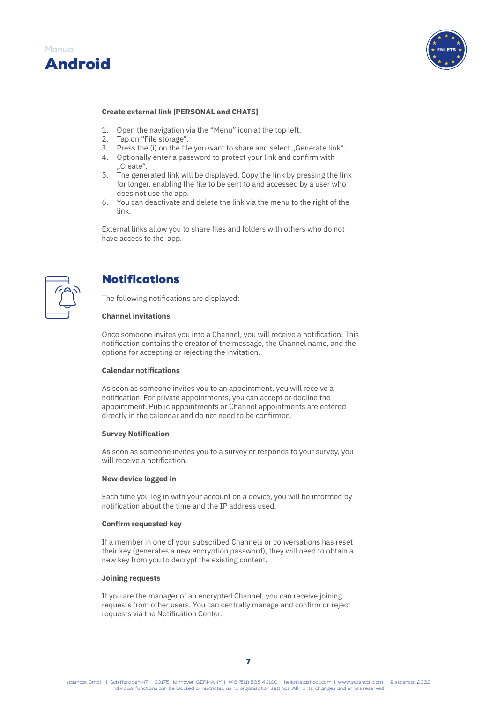<span id="page-9-0"></span>



#### **Create external link [PERSONAL and CHATS]**

- 1. Open the navigation via the "Menu" icon at the top left.
- 2. Tap on "File storage".
- 3. Press the (i) on the file you want to share and select "Generate link".
- 4. Optionally enter a password to protect your link and confirm with "Create".
- 5. The generated link will be displayed. Copy the link by pressing the link for longer, enabling the file to be sent to and accessed by a user who does not use the app.
- 6. You can deactivate and delete the link via the menu to the right of the link.

External links allow you to share files and folders with others who do not have access to the app.



# Notifications

The following notifications are displayed:

### **Channel invitations**

Once someone invites you into a Channel, you will receive a notification. This notification contains the creator of the message, the Channel name, and the options for accepting or rejecting the invitation.

#### **Calendar notifications**

As soon as someone invites you to an appointment, you will receive a notification. For private appointments, you can accept or decline the appointment. Public appointments or Channel appointments are entered directly in the calendar and do not need to be confirmed.

#### **Survey Notification**

As soon as someone invites you to a survey or responds to your survey, you will receive a notification.

#### **New device logged in**

Each time you log in with your account on a device, you will be informed by notification about the time and the IP address used.

#### **Confirm requested key**

If a member in one of your subscribed Channels or conversations has reset their key (generates a new encryption password), they will need to obtain a new key from you to decrypt the existing content.

#### **Joining requests**

If you are the manager of an encrypted Channel, you can receive joining requests from other users. You can centrally manage and confirm or reject requests via the Notification Center.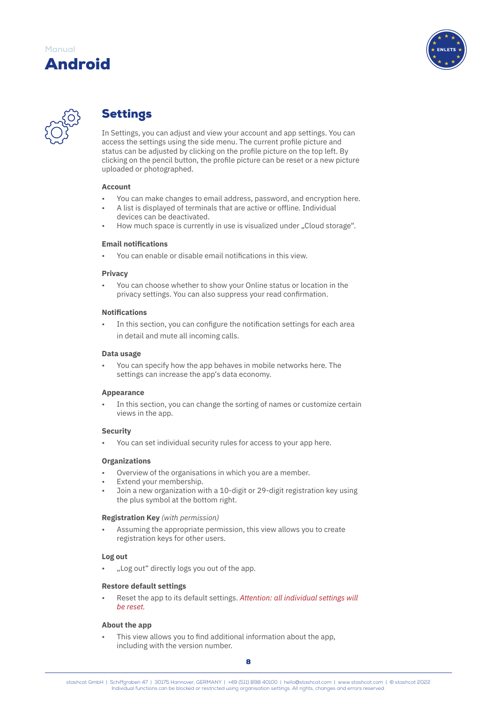

<span id="page-10-0"></span>

# Settings

In Settings, you can adjust and view your account and app settings. You can access the settings using the side menu. The current profile picture and status can be adjusted by clicking on the profile picture on the top left. By clicking on the pencil button, the profile picture can be reset or a new picture uploaded or photographed.

### **Account**

- You can make changes to email address, password, and encryption here.
- A list is displayed of terminals that are active or offline. Individual devices can be deactivated.
- How much space is currently in use is visualized under "Cloud storage".

# **Email notifications**

• You can enable or disable email notifications in this view.

### **Privacy**

• You can choose whether to show your Online status or location in the privacy settings. You can also suppress your read confirmation.

### **Notifications**

In this section, you can configure the notification settings for each area in detail and mute all incoming calls.

### **Data usage**

• You can specify how the app behaves in mobile networks here. The settings can increase the app's data economy.

# **Appearance**

In this section, you can change the sorting of names or customize certain views in the app.

### **Security**

• You can set individual security rules for access to your app here.

# **Organizations**

- Overview of the organisations in which you are a member.
- Extend your membership.
- Join a new organization with a 10-digit or 29-digit registration key using the plus symbol at the bottom right.

### **Registration Key** *(with permission)*

Assuming the appropriate permission, this view allows you to create registration keys for other users.

# **Log out**

"Log out" directly logs you out of the app.

### **Restore default settings**

• Reset the app to its default settings. *Attention: all individual settings will be reset.*

# **About the app**

This view allows you to find additional information about the app. including with the version number.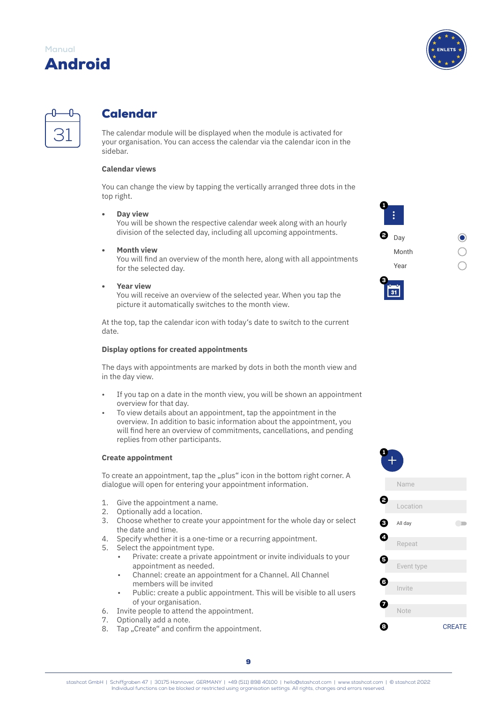

<span id="page-11-0"></span>

# Calendar

The calendar module will be displayed when the module is activated for your organisation. You can access the calendar via the calendar icon in the sidebar.

### **Calendar views**

You can change the view by tapping the vertically arranged three dots in the top right.

**• Day view** You will be shown the respective calendar week along with an hourly division of the selected day, including all upcoming appointments.

**• Month view**

You will find an overview of the month here, along with all appointments for the selected day.

**• Year view**

You will receive an overview of the selected year. When you tap the picture it automatically switches to the month view.

At the top, tap the calendar icon with today's date to switch to the current date.

### **Display options for created appointments**

The days with appointments are marked by dots in both the month view and in the day view.

- If you tap on a date in the month view, you will be shown an appointment overview for that day.
- To view details about an appointment, tap the appointment in the overview. In addition to basic information about the appointment, you will find here an overview of commitments, cancellations, and pending replies from other participants.

### **Create appointment**

To create an appointment, tap the "plus" icon in the bottom right corner. A dialogue will open for entering your appointment information.

- 1. Give the appointment a name.
- 2. Optionally add a location.
- 3. Choose whether to create your appointment for the whole day or select the date and time.
- 4. Specify whether it is a one-time or a recurring appointment.<br>5. Select the appointment type.
- Select the appointment type.
	- Private: create a private appointment or invite individuals to your appointment as needed.
	- Channel: create an appointment for a Channel. All Channel members will be invited
	- Public: create a public appointment. This will be visible to all users of your organisation.
- 6. Invite people to attend the appointment.
- 7. Optionally add a note.
- 8. Tap "Create" and confirm the appointment.



 $31$ 



9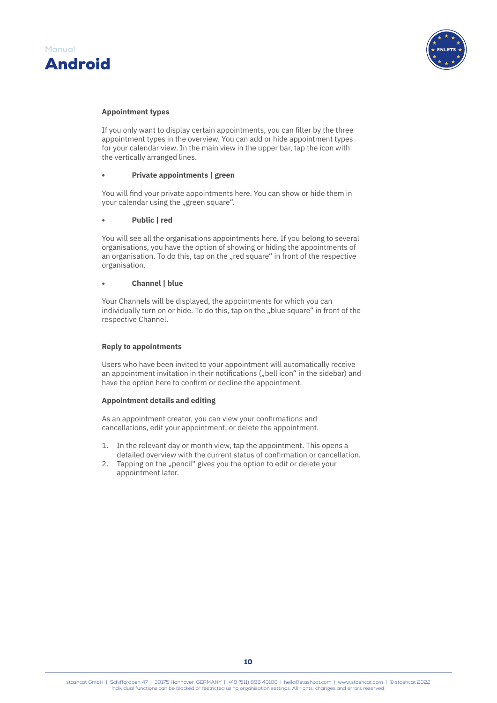



#### **Appointment types**

If you only want to display certain appointments, you can filter by the three appointment types in the overview. You can add or hide appointment types for your calendar view. In the main view in the upper bar, tap the icon with the vertically arranged lines.

#### **• Private appointments | green**

You will find your private appointments here. You can show or hide them in your calendar using the "green square".

#### **• Public | red**

You will see all the organisations appointments here. If you belong to several organisations, you have the option of showing or hiding the appointments of an organisation. To do this, tap on the "red square" in front of the respective organisation.

#### **• Channel | blue**

Your Channels will be displayed, the appointments for which you can individually turn on or hide. To do this, tap on the "blue square" in front of the respective Channel.

#### **Reply to appointments**

Users who have been invited to your appointment will automatically receive an appointment invitation in their notifications ("bell icon" in the sidebar) and have the option here to confirm or decline the appointment.

#### **Appointment details and editing**

As an appointment creator, you can view your confirmations and cancellations, edit your appointment, or delete the appointment.

- 1. In the relevant day or month view, tap the appointment. This opens a detailed overview with the current status of confirmation or cancellation.
- 2. Tapping on the "pencil" gives you the option to edit or delete your appointment later.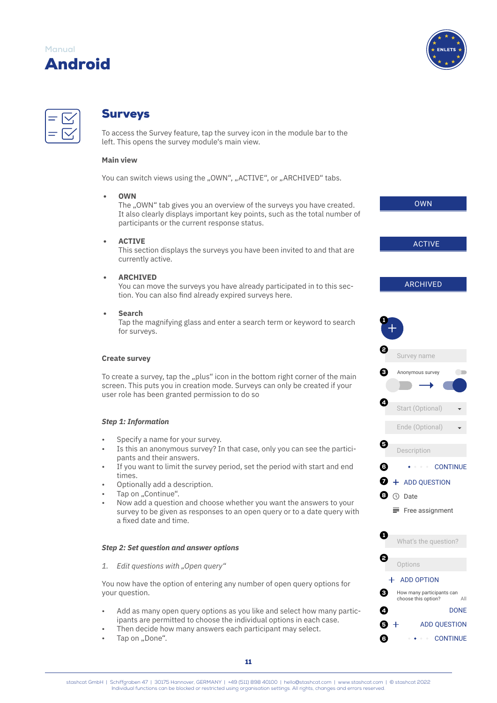

<span id="page-13-0"></span>

# Surveys

To access the Survey feature, tap the survey icon in the module bar to the left. This opens the survey module's main view.

# **Main view**

You can switch views using the "OWN", "ACTIVE", or "ARCHIVED" tabs.

**• OWN**

The "OWN" tab gives you an overview of the surveys you have created. It also clearly displays important key points, such as the total number of participants or the current response status.

**• ACTIVE**

This section displays the surveys you have been invited to and that are currently active.

**• ARCHIVED**

You can move the surveys you have already participated in to this section. You can also find already expired surveys here.

**• Search**

Tap the magnifying glass and enter a search term or keyword to search for surveys.

### **Create survey**

To create a survey, tap the "plus" icon in the bottom right corner of the main screen. This puts you in creation mode. Surveys can only be created if your user role has been granted permission to do so

### *Step 1: Information*

- Specify a name for your survey.
- Is this an anonymous survey? In that case, only you can see the participants and their answers.
- If you want to limit the survey period, set the period with start and end times.
- Optionally add a description.
- Tap on "Continue".
- Now add a question and choose whether you want the answers to your survey to be given as responses to an open query or to a date query with a fixed date and time.

#### *Step 2: Set question and answer options*

1. Edit questions with "Open query"

You now have the option of entering any number of open query options for your question.

- Add as many open query options as you like and select how many participants are permitted to choose the individual options in each case.
- Then decide how many answers each participant may select.
- Tap on ..Done".

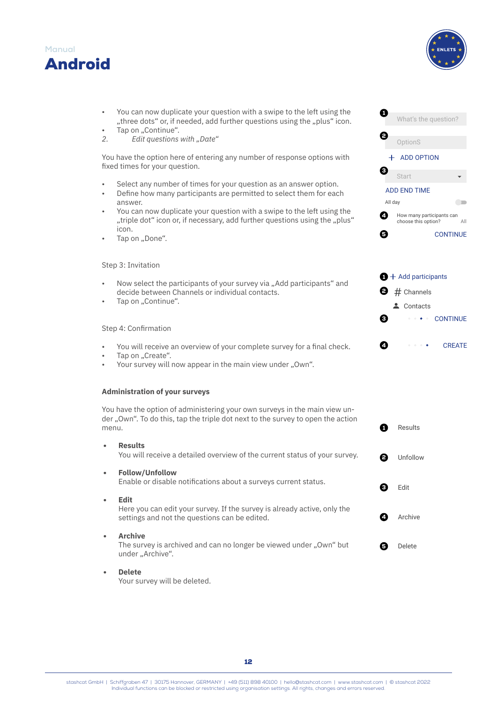



Start

ADD END TIME

OptionS + ADD OPTION

 $\boldsymbol{c}$ 

41

Results

All day

0

0

0

**6** CONTINUE

 $\bigoplus$  + Add participants

 $\bullet$  # Channels **4** Contacts

How many participants can choose this option? All

**COL** 

 $\bullet \bullet \bullet$  CONTINUE

**4 CREATE** 

What's the question?

- You can now duplicate your question with a swipe to the left using the "three dots" or, if needed, add further questions using the "plus" icon.
- Tap on "Continue".
- 2. *Edit questions with "Date"*

You have the option here of entering any number of response options with fixed times for your question.

- Select any number of times for your question as an answer option.
- Define how many participants are permitted to select them for each answer.
- You can now duplicate your question with a swipe to the left using the ", triple dot" icon or, if necessary, add further questions using the "plus icon.
- Tap on "Done".

# Step 3: Invitation

- Now select the participants of your survey via "Add participants" and decide between Channels or individual contacts.
- Tap on "Continue".

### Step 4: Confirmation

- You will receive an overview of your complete survey for a final check.
- Tap on ..Create".
- Your survey will now appear in the main view under "Own".

### **Administration of your surveys**

You have the option of administering your own surveys in the main view under "Own". To do this, tap the triple dot next to the survey to open the action menu.

|           | <b>Results</b><br>You will receive a detailed overview of the current status of your survey.<br>2                                        | Unfollow |
|-----------|------------------------------------------------------------------------------------------------------------------------------------------|----------|
| $\bullet$ | <b>Follow/Unfollow</b><br>Enable or disable notifications about a surveys current status.                                                | Edit     |
|           | <b>Edit</b><br>Here you can edit your survey. If the survey is already active, only the<br>settings and not the questions can be edited. | Archive  |
| $\bullet$ | <b>Archive</b><br>The survey is archived and can no longer be viewed under "Own" but<br>under "Archive".                                 | Delete   |

**• Delete**

Your survey will be deleted.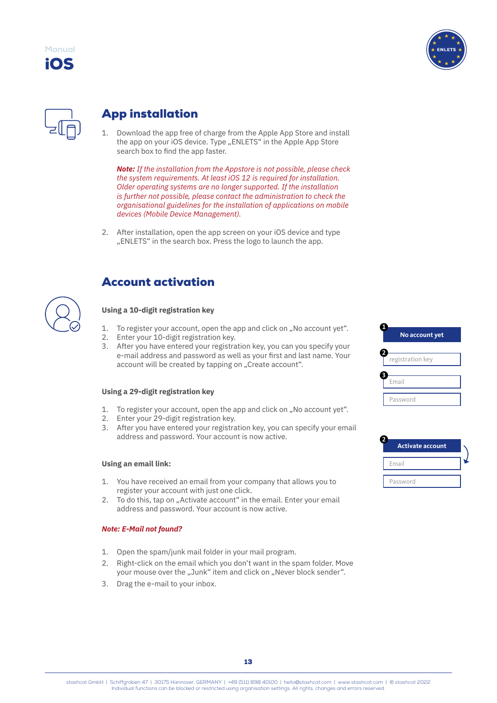

<span id="page-15-0"></span>iOS **Manual**

# App installation

1. Download the app free of charge from the Apple App Store and install the app on your iOS device. Type "ENLETS" in the Apple App Store search box to find the app faster.

*Note: If the installation from the Appstore is not possible, please check the system requirements. At least iOS 12 is required for installation. Older operating systems are no longer supported. If the installation is further not possible, please contact the administration to check the organisational guidelines for the installation of applications on mobile devices (Mobile Device Management).*

2. After installation, open the app screen on your iOS device and type "ENLETS" in the search box. Press the logo to launch the app.



# Account activation

# **Using a 10-digit registration key**

- 1. To register your account, open the app and click on "No account yet".
- 2. Enter your 10-digit registration key.
- 3. After you have entered your registration key, you can you specify your e-mail address and password as well as your first and last name. Your account will be created by tapping on "Create account".

### **Using a 29-digit registration key**

- 1. To register your account, open the app and click on "No account yet".
- 2. Enter your 29-digit registration key.
- 3. After you have entered your registration key, you can specify your email address and password. Your account is now active.

# **Using an email link:**

- 1. You have received an email from your company that allows you to register your account with just one click.
- 2. To do this, tap on "Activate account" in the email. Enter your email address and password. Your account is now active.

### *Note: E-Mail not found?*

- 1. Open the spam/junk mail folder in your mail program.
- 2. Right-click on the email which you don't want in the spam folder. Move your mouse over the "Junk" item and click on "Never block sender".
- 3. Drag the e-mail to your inbox.



| <b>Activate account</b> |  |
|-------------------------|--|
| Email                   |  |
| Password                |  |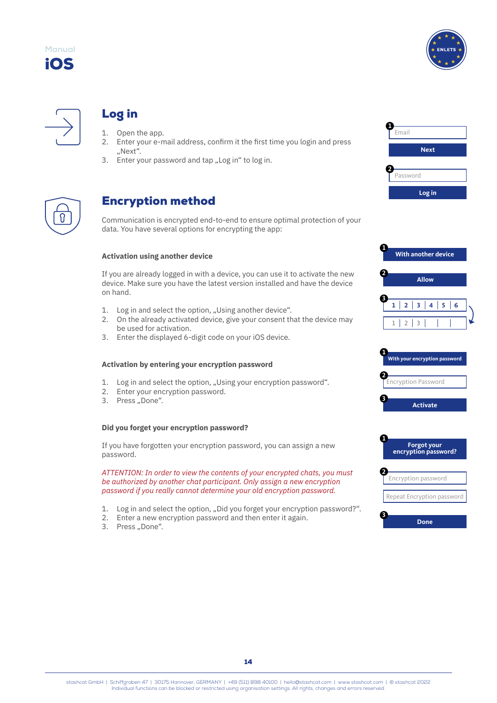<span id="page-16-0"></span>





# Log in

- 1. Open the app.<br>2. Enter your e-m
- 2. Enter your e-mail address, confirm it the first time you login and press "Next".
- 3. Enter your password and tap "Log in" to log in.



# Encryption method

Communication is encrypted end-to-end to ensure optimal protection of your data. You have several options for encrypting the app:

### **Activation using another device**

If you are already logged in with a device, you can use it to activate the new device. Make sure you have the latest version installed and have the device on hand.

- 1. Log in and select the option, "Using another device".
- 2. On the already activated device, give your consent that the device may be used for activation.
- 3. Enter the displayed 6-digit code on your iOS device.

### **Activation by entering your encryption password**

- 1. Log in and select the option, "Using your encryption password".
- 2. Enter your encryption password.
- 3. Press "Done".

# **Did you forget your encryption password?**

If you have forgotten your encryption password, you can assign a new password.

*ATTENTION: In order to view the contents of your encrypted chats, you must be authorized by another chat participant. Only assign a new encryption password if you really cannot determine your old encryption password.*

- 1. Log in and select the option, "Did you forget your encryption password?".
- 2. Enter a new encryption password and then enter it again.
- 3. Press "Done".









|  | Repeat Encryption password |  |
|--|----------------------------|--|
|  |                            |  |

**3**



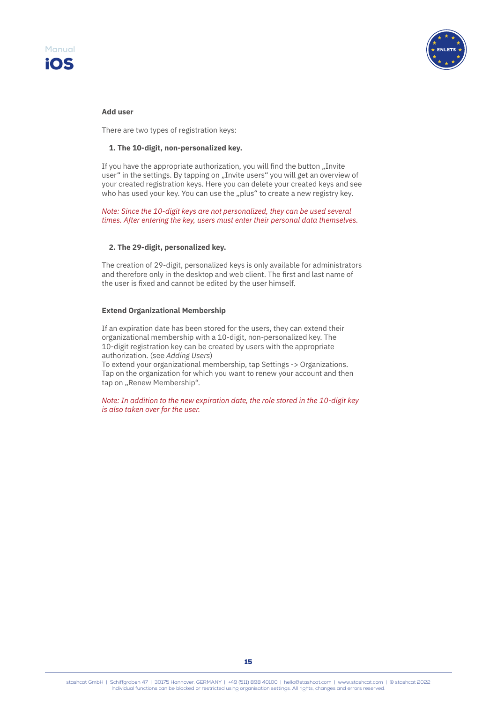



#### **Add user**

There are two types of registration keys:

### **1. The 10-digit, non-personalized key.**

If you have the appropriate authorization, you will find the button "Invite user" in the settings. By tapping on "Invite users" you will get an overview of your created registration keys. Here you can delete your created keys and see who has used your key. You can use the "plus" to create a new registry key.

*Note: Since the 10-digit keys are not personalized, they can be used several times. After entering the key, users must enter their personal data themselves.*

### **2. The 29-digit, personalized key.**

The creation of 29-digit, personalized keys is only available for administrators and therefore only in the desktop and web client. The first and last name of the user is fixed and cannot be edited by the user himself.

### **Extend Organizational Membership**

If an expiration date has been stored for the users, they can extend their organizational membership with a 10-digit, non-personalized key. The 10-digit registration key can be created by users with the appropriate authorization. (see *Adding Users*)

To extend your organizational membership, tap Settings -> Organizations. Tap on the organization for which you want to renew your account and then tap on "Renew Membership".

*Note: In addition to the new expiration date, the role stored in the 10-digit key is also taken over for the user.*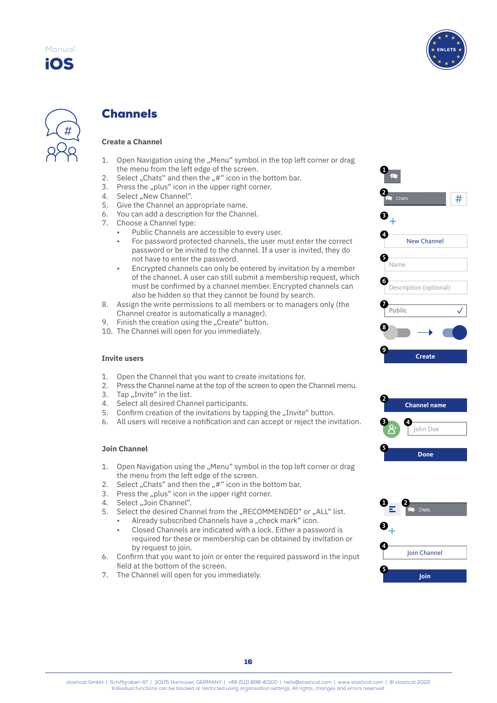

<span id="page-18-0"></span>

# Channels

# **Create a Channel**

- 1. Open Navigation using the "Menu" symbol in the top left corner or drag the menu from the left edge of the screen.
- 2. Select "Chats" and then the  $#$  " icon in the bottom bar.
- 3. Press the "plus" icon in the upper right corner.
- 4. Select "New Channel".
- 5. Give the Channel an appropriate name.
- 6. You can add a description for the Channel.
- 7. Choose a Channel type:
	- Public Channels are accessible to every user.
	- For password protected channels, the user must enter the correct password or be invited to the channel. If a user is invited, they do not have to enter the password.
	- Encrypted channels can only be entered by invitation by a member of the channel. A user can still submit a membership request, which must be confirmed by a channel member. Encrypted channels can also be hidden so that they cannot be found by search.
- 8. Assign the write permissions to all members or to managers only (the Channel creator is automatically a manager).
- 9. Finish the creation using the "Create" button.
- 10. The Channel will open for you immediately.

#### **Invite users**

- 1. Open the Channel that you want to create invitations for.
- 2. Press the Channel name at the top of the screen to open the Channel menu.
- 3. Tap "Invite" in the list.
- 4. Select all desired Channel participants.
- 5. Confirm creation of the invitations by tapping the "Invite" button.
- 6. All users will receive a notification and can accept or reject the invitation.

### **Join Channel**

- 1. Open Navigation using the "Menu" symbol in the top left corner or drag the menu from the left edge of the screen.
- 2. Select "Chats" and then the "#" icon in the bottom bar.
- 3. Press the "plus" icon in the upper right corner.
- 4. Select ..Join Channel".
- 5. Select the desired Channel from the "RECOMMENDED" or "ALL" list.
	- Already subscribed Channels have a "check mark" icon.
		- Closed Channels are indicated with a lock. Either a password is required for these or membership can be obtained by invitation or by request to join.
- 6. Confirm that you want to join or enter the required password in the input field at the bottom of the screen.
- 7. The Channel will open for you immediately.





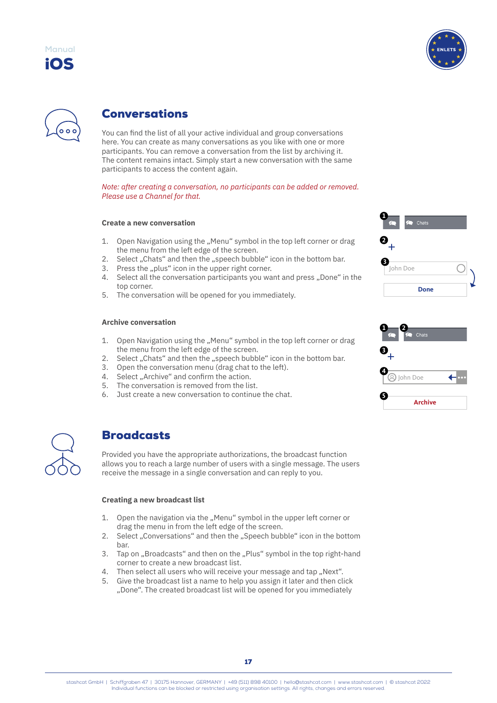

<span id="page-19-0"></span>



# Conversations

You can find the list of all your active individual and group conversations here. You can create as many conversations as you like with one or more participants. You can remove a conversation from the list by archiving it. The content remains intact. Simply start a new conversation with the same participants to access the content again.

*Note: after creating a conversation, no participants can be added or removed. Please use a Channel for that.*

# **Create a new conversation**

- 1. Open Navigation using the "Menu" symbol in the top left corner or drag the menu from the left edge of the screen.
- 2. Select "Chats" and then the "speech bubble" icon in the bottom bar.
- 3. Press the "plus" icon in the upper right corner.
- 4. Select all the conversation participants you want and press "Done" in the top corner.
- 5. The conversation will be opened for you immediately.

# **Archive conversation**

- 1. Open Navigation using the "Menu" symbol in the top left corner or drag the menu from the left edge of the screen.
- 2. Select "Chats" and then the "speech bubble" icon in the bottom bar.
- 3. Open the conversation menu (drag chat to the left).
- 4. Select "Archive" and confirm the action.
- 5. The conversation is removed from the list.
- 6. Just create a new conversation to continue the chat.



# **Broadcasts**

Provided you have the appropriate authorizations, the broadcast function allows you to reach a large number of users with a single message. The users receive the message in a single conversation and can reply to you.

### **Creating a new broadcast list**

- 1. Open the navigation via the "Menu" symbol in the upper left corner or drag the menu in from the left edge of the screen.
- 2. Select "Conversations" and then the "Speech bubble" icon in the bottom bar.
- 3. Tap on "Broadcasts" and then on the "Plus" symbol in the top right-hand corner to create a new broadcast list.
- 4. Then select all users who will receive your message and tap "Next".
- 5. Give the broadcast list a name to help you assign it later and then click "Done". The created broadcast list will be opened for you immediately

| Chats<br>$\bigcap$ |  |
|--------------------|--|
| 2                  |  |
| John Doe           |  |
| <b>Done</b>        |  |

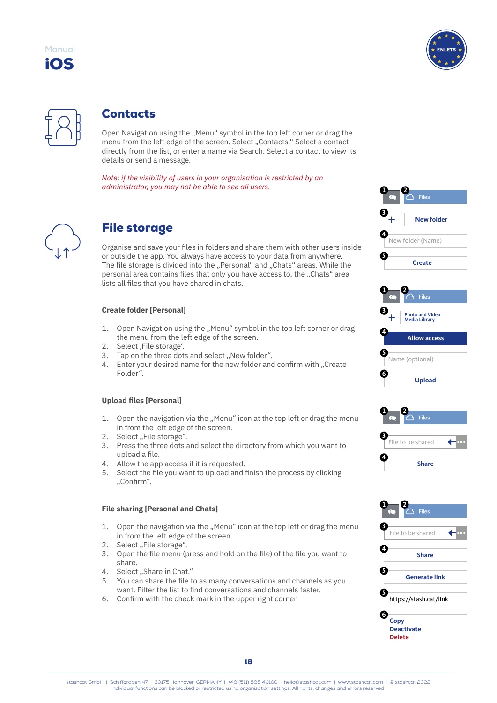<span id="page-20-0"></span>





# **Contacts**

Open Navigation using the "Menu" symbol in the top left corner or drag the menu from the left edge of the screen. Select "Contacts." Select a contact directly from the list, or enter a name via Search. Select a contact to view its details or send a message.

*Note: if the visibility of users in your organisation is restricted by an administrator, you may not be able to see all users.*



# File storage

Organise and save your files in folders and share them with other users inside or outside the app. You always have access to your data from anywhere. The file storage is divided into the "Personal" and "Chats" areas. While the personal area contains files that only you have access to, the "Chats" area lists all files that you have shared in chats.

# **Create folder [Personal]**

- 1. Open Navigation using the "Menu" symbol in the top left corner or drag the menu from the left edge of the screen.
- 2. Select, File storage'.
- 3. Tap on the three dots and select "New folder".
- 4. Enter your desired name for the new folder and confirm with "Create Folder".

# **Upload files [Personal]**

- 1. Open the navigation via the "Menu" icon at the top left or drag the menu in from the left edge of the screen.
- 2. Select "File storage".
- 3. Press the three dots and select the directory from which you want to upload a file.
- 4. Allow the app access if it is requested.<br>5. Select the file you want to upload and
- 5. Select the file you want to upload and finish the process by clicking "Confirm".

### **File sharing [Personal and Chats]**

- 1. Open the navigation via the "Menu" icon at the top left or drag the menu in from the left edge of the screen.
- 2. Select "File storage".
- 3. Open the file menu (press and hold on the file) of the file you want to share.
- 4. Select ..Share in Chat."
- 5. You can share the file to as many conversations and channels as you want. Filter the list to find conversations and channels faster.
- 6. Confirm with the check mark in the upper right corner.







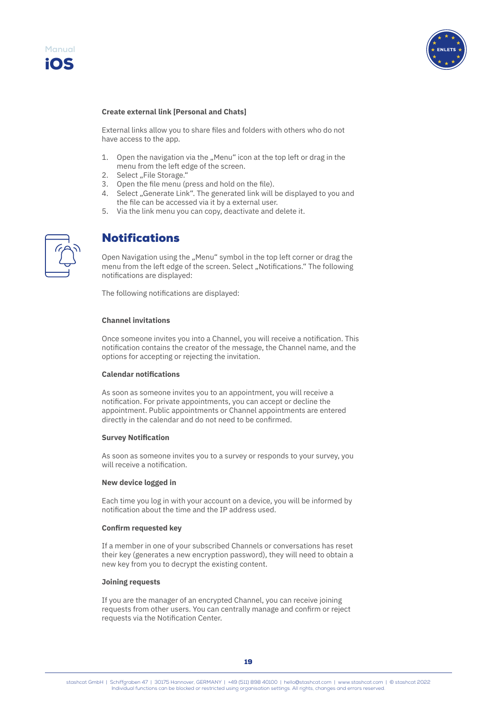<span id="page-21-0"></span>



#### **Create external link [Personal and Chats]**

External links allow you to share files and folders with others who do not have access to the app.

- 1. Open the navigation via the ..Menu" icon at the top left or drag in the menu from the left edge of the screen.
- 2. Select "File Storage."
- 3. Open the file menu (press and hold on the file).
- 4. Select "Generate Link". The generated link will be displayed to you and the file can be accessed via it by a external user.
- 5. Via the link menu you can copy, deactivate and delete it.



# Notifications

Open Navigation using the "Menu" symbol in the top left corner or drag the menu from the left edge of the screen. Select "Notifications." The following notifications are displayed:

The following notifications are displayed:

### **Channel invitations**

Once someone invites you into a Channel, you will receive a notification. This notification contains the creator of the message, the Channel name, and the options for accepting or rejecting the invitation.

#### **Calendar notifications**

As soon as someone invites you to an appointment, you will receive a notification. For private appointments, you can accept or decline the appointment. Public appointments or Channel appointments are entered directly in the calendar and do not need to be confirmed.

#### **Survey Notification**

As soon as someone invites you to a survey or responds to your survey, you will receive a notification.

#### **New device logged in**

Each time you log in with your account on a device, you will be informed by notification about the time and the IP address used.

#### **Confirm requested key**

If a member in one of your subscribed Channels or conversations has reset their key (generates a new encryption password), they will need to obtain a new key from you to decrypt the existing content.

#### **Joining requests**

If you are the manager of an encrypted Channel, you can receive joining requests from other users. You can centrally manage and confirm or reject requests via the Notification Center.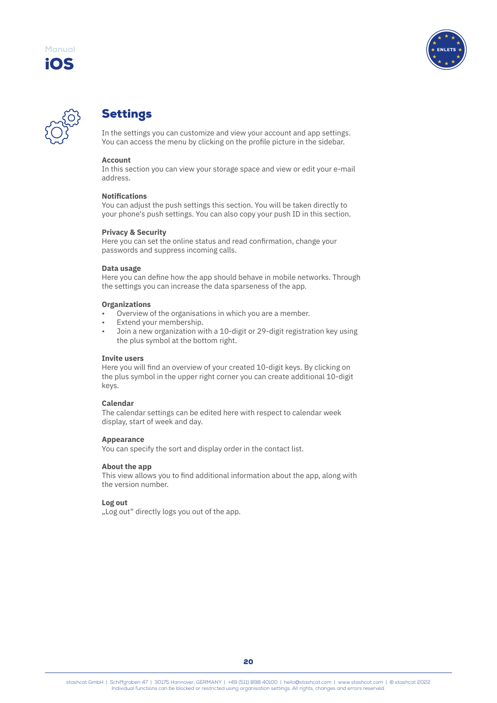<span id="page-22-0"></span>





# Settings

In the settings you can customize and view your account and app settings. You can access the menu by clicking on the profile picture in the sidebar.

### **Account**

In this section you can view your storage space and view or edit your e-mail address.

# **Notifications**

You can adjust the push settings this section. You will be taken directly to your phone's push settings. You can also copy your push ID in this section.

### **Privacy & Security**

Here you can set the online status and read confirmation, change your passwords and suppress incoming calls.

### **Data usage**

Here you can define how the app should behave in mobile networks. Through the settings you can increase the data sparseness of the app.

#### **Organizations**

- Overview of the organisations in which you are a member.
- Extend your membership.
- Join a new organization with a 10-digit or 29-digit registration key using the plus symbol at the bottom right.

#### **Invite users**

Here you will find an overview of your created 10-digit keys. By clicking on the plus symbol in the upper right corner you can create additional 10-digit keys.

#### **Calendar**

The calendar settings can be edited here with respect to calendar week display, start of week and day.

#### **Appearance**

You can specify the sort and display order in the contact list.

### **About the app**

This view allows you to find additional information about the app, along with the version number.

### **Log out**

"Log out" directly logs you out of the app.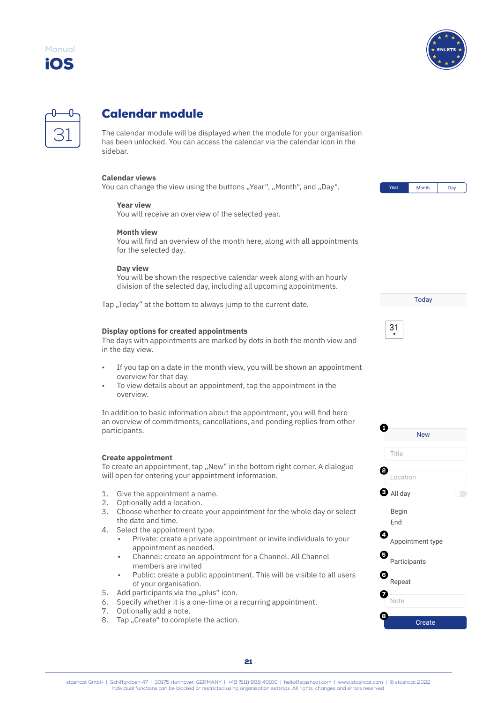<span id="page-23-0"></span>





# Calendar module

The calendar module will be displayed when the module for your organisation has been unlocked. You can access the calendar via the calendar icon in the sidebar.

### **Calendar views**

You can change the view using the buttons "Year", "Month", and "Day".

#### **Year view**

You will receive an overview of the selected year.

### **Month view**

You will find an overview of the month here, along with all appointments for the selected day.

#### **Day view**

You will be shown the respective calendar week along with an hourly division of the selected day, including all upcoming appointments.

Tap "Today" at the bottom to always jump to the current date.

#### **Display options for created appointments**

The days with appointments are marked by dots in both the month view and in the day view.

- If you tap on a date in the month view, you will be shown an appointment overview for that day.
- To view details about an appointment, tap the appointment in the overview.

In addition to basic information about the appointment, you will find here an overview of commitments, cancellations, and pending replies from other participants.

#### **Create appointment**

To create an appointment, tap "New" in the bottom right corner. A dialogue will open for entering your appointment information.

- 1. Give the appointment a name.
- 2. Optionally add a location.
- 3. Choose whether to create your appointment for the whole day or select the date and time.
- 4. Select the appointment type.
	- Private: create a private appointment or invite individuals to your appointment as needed.
	- Channel: create an appointment for a Channel. All Channel members are invited
	- Public: create a public appointment. This will be visible to all users of your organisation.
- 5. Add participants via the "plus" icon.
- 6. Specify whether it is a one-time or a recurring appointment.
- 7. Optionally add a note.
- 8. Tap "Create" to complete the action.



**Today** 

| - |  |
|---|--|

| <b>New</b>            |  |
|-----------------------|--|
| Title                 |  |
| Location              |  |
| $\bullet$ All day     |  |
| Begin<br>End          |  |
| 4<br>Appointment type |  |
| 5<br>Participants     |  |
| 6<br>Repeat           |  |
| Note                  |  |
| 8<br>Create           |  |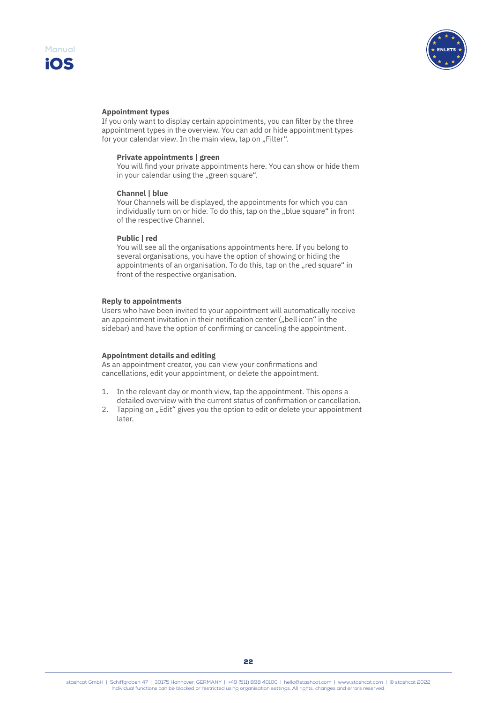



#### **Appointment types**

If you only want to display certain appointments, you can filter by the three appointment types in the overview. You can add or hide appointment types for your calendar view. In the main view, tap on "Filter".

#### **Private appointments | green**

You will find your private appointments here. You can show or hide them in your calendar using the "green square".

#### **Channel | blue**

Your Channels will be displayed, the appointments for which you can individually turn on or hide. To do this, tap on the "blue square" in front of the respective Channel.

#### **Public | red**

You will see all the organisations appointments here. If you belong to several organisations, you have the option of showing or hiding the appointments of an organisation. To do this, tap on the "red square" in front of the respective organisation.

#### **Reply to appointments**

Users who have been invited to your appointment will automatically receive an appointment invitation in their notification center ("bell icon" in the sidebar) and have the option of confirming or canceling the appointment.

#### **Appointment details and editing**

As an appointment creator, you can view your confirmations and cancellations, edit your appointment, or delete the appointment.

- 1. In the relevant day or month view, tap the appointment. This opens a detailed overview with the current status of confirmation or cancellation.
- 2. Tapping on "Edit" gives you the option to edit or delete your appointment later.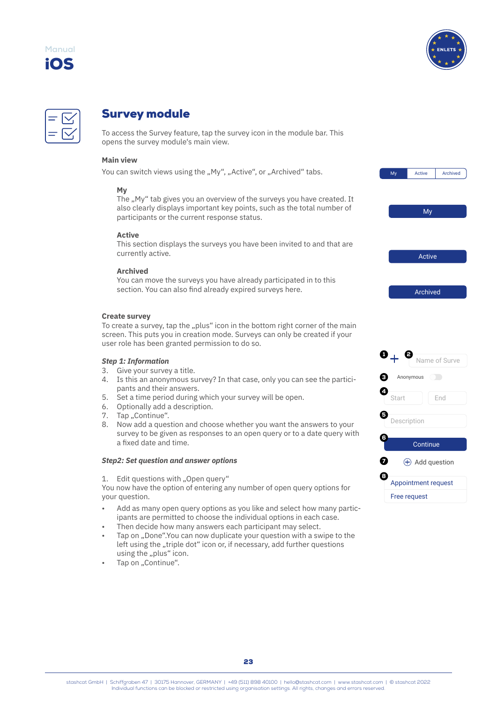<span id="page-25-0"></span>





# Survey module

To access the Survey feature, tap the survey icon in the module bar. This opens the survey module's main view.

# **Main view**

You can switch views using the "My", "Active", or "Archived" tabs.

### **My**

The ..My" tab gives you an overview of the surveys you have created. It also clearly displays important key points, such as the total number of participants or the current response status.

### **Active**

This section displays the surveys you have been invited to and that are currently active.

### **Archived**

You can move the surveys you have already participated in to this section. You can also find already expired surveys here.

### **Create survey**

To create a survey, tap the "plus" icon in the bottom right corner of the main screen. This puts you in creation mode. Surveys can only be created if your user role has been granted permission to do so.

#### *Step 1: Information*

- 3. Give your survey a title.
- 4. Is this an anonymous survey? In that case, only you can see the participants and their answers.
- 5. Set a time period during which your survey will be open.
- 6. Optionally add a description.
- 7. Tap "Continue".
- 8. Now add a question and choose whether you want the answers to your survey to be given as responses to an open query or to a date query with a fixed date and time.

### *Step2: Set question and answer options*

1. Edit questions with "Open query"

You now have the option of entering any number of open query options for your question.

- Add as many open query options as you like and select how many participants are permitted to choose the individual options in each case.
- Then decide how many answers each participant may select.
- Tap on "Done".You can now duplicate your question with a swipe to the left using the "triple dot" icon or, if necessary, add further questions using the "plus" icon.
- Tap on "Continue".



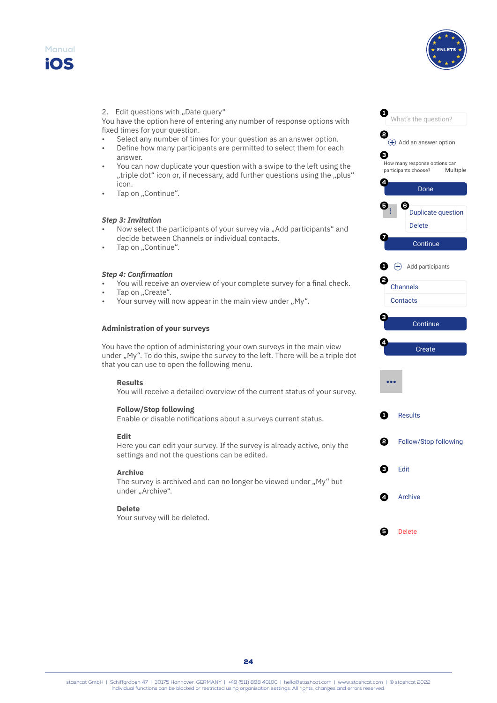



#### 2. Edit questions with "Date query"

You have the option here of entering any number of response options with fixed times for your question.

- Select any number of times for your question as an answer option.
- Define how many participants are permitted to select them for each answer.
- You can now duplicate your question with a swipe to the left using the "triple dot" icon or, if necessary, add further questions using the "plus" icon.
- Tap on "Continue".

#### *Step 3: Invitation*

- Now select the participants of your survey via "Add participants" and decide between Channels or individual contacts.
- Tap on "Continue".

### *Step 4: Confirmation*

- You will receive an overview of your complete survey for a final check.
- Tap on ..Create".
- Your survey will now appear in the main view under "My".

### **Administration of your surveys**

You have the option of administering your own surveys in the main view under "My". To do this, swipe the survey to the left. There will be a triple dot that you can use to open the following menu.

# **Results**

You will receive a detailed overview of the current status of your survey.

#### **Follow/Stop following**

Enable or disable notifications about a surveys current status.

#### **Edit**

Here you can edit your survey. If the survey is already active, only the settings and not the questions can be edited.

#### **Archive**

The survey is archived and can no longer be viewed under "My" but under "Archive".

#### **Delete**

Your survey will be deleted.

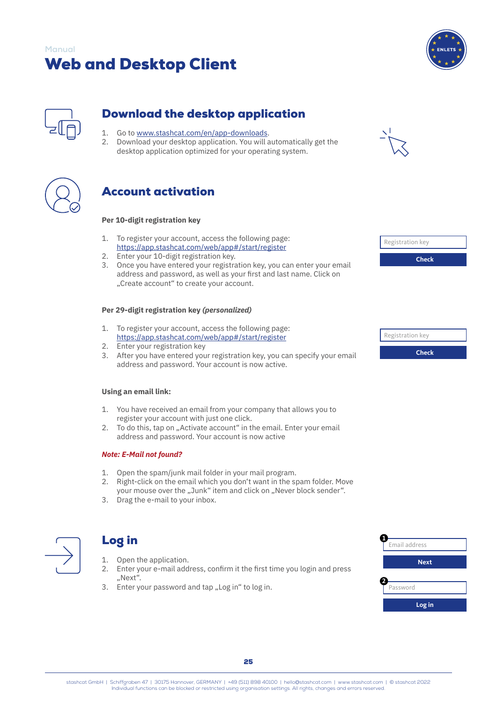

<span id="page-27-0"></span>

# Download the desktop application

- 1. Go to [www.stashcat.com/en/app-downloads](http://www.stashcat.com/en/app-downloads).
- 2. Download your desktop application. You will automatically get the desktop application optimized for your operating system.





# Account activation

### **Per 10-digit registration key**

- 1. To register your account, access the following page: <https://app.stashcat.com/web/app#/start/register>
- 2. Enter your 10-digit registration key.
- 3. Once you have entered your registration key, you can enter your email address and password, as well as your first and last name. Click on "Create account" to create your account.

# **Per 29-digit registration key** *(personalized)*

- 1. To register your account, access the following page: <https://app.stashcat.com/web/app#/start/register>
- 2. Enter your registration key
- 3. After you have entered your registration key, you can specify your email address and password. Your account is now active.

### **Using an email link:**

- 1. You have received an email from your company that allows you to register your account with just one click.
- 2. To do this, tap on "Activate account" in the email. Enter your email address and password. Your account is now active

# *Note: E-Mail not found?*

- 1. Open the spam/junk mail folder in your mail program.
- 2. Right-click on the email which you don't want in the spam folder. Move your mouse over the "Junk" item and click on "Never block sender".
- 3. Drag the e-mail to your inbox.



# Log in

- 1. Open the application.
- 2. Enter your e-mail address, confirm it the first time you login and press "Next".
- 3. Enter your password and tap "Log in" to log in.



Registration key

**Check**

| Email address |
|---------------|
| <b>Next</b>   |
| Password      |
| Log in        |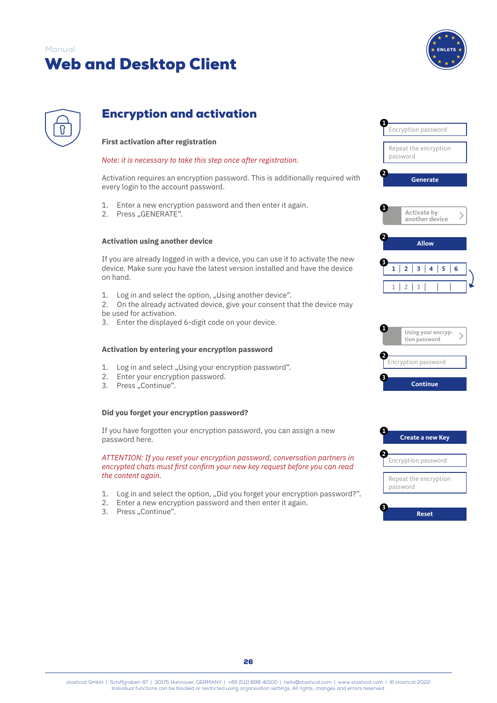

<span id="page-28-0"></span>

# Encryption and activation

# **First activation after registration**

### *Note: it is necessary to take this step once after registration.*

Activation requires an encryption password. This is additionally required with every login to the account password.

- 1. Enter a new encryption password and then enter it again.
- 2. Press "GENERATE".

#### **Activation using another device**

If you are already logged in with a device, you can use it to activate the new device. Make sure you have the latest version installed and have the device on hand.

- 1. Log in and select the option, "Using another device".
- 2. On the already activated device, give your consent that the device may be used for activation.
- 3. Enter the displayed 6-digit code on your device.

#### **Activation by entering your encryption password**

- 1. Log in and select "Using your encryption password".
- 2. Enter your encryption password.
- 3. Press "Continue".

#### **Did you forget your encryption password?**

If you have forgotten your encryption password, you can assign a new password here.

*ATTENTION: If you reset your encryption password, conversation partners in encrypted chats must first confirm your new key request before you can read the content again.*

- 1. Log in and select the option, "Did you forget your encryption password?".
- 2. Enter a new encryption password and then enter it again.
- 3. Press "Continue".





**2**





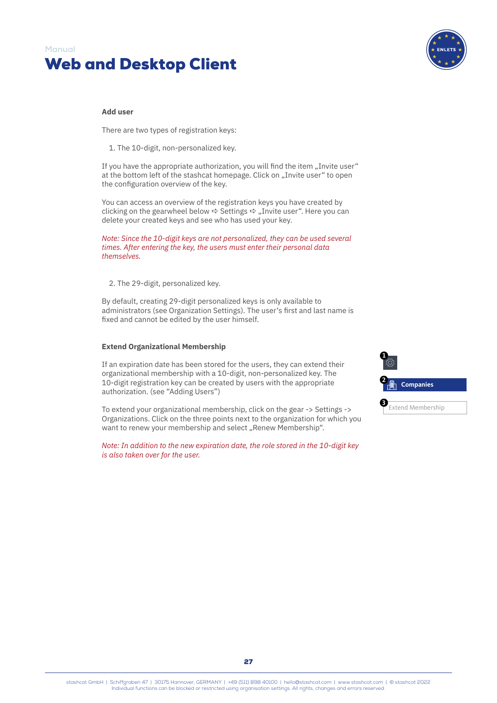

#### **Add user**

There are two types of registration keys:

1. The 10-digit, non-personalized key.

If you have the appropriate authorization, you will find the item "Invite user" at the bottom left of the stashcat homepage. Click on "Invite user" to open the configuration overview of the key.

You can access an overview of the registration keys you have created by clicking on the gearwheel below  $\Leftrightarrow$  Settings  $\Leftrightarrow$  "Invite user". Here you can delete your created keys and see who has used your key.

*Note: Since the 10-digit keys are not personalized, they can be used several times. After entering the key, the users must enter their personal data themselves.*

2. The 29-digit, personalized key.

By default, creating 29-digit personalized keys is only available to administrators (see Organization Settings). The user's first and last name is fixed and cannot be edited by the user himself.

#### **Extend Organizational Membership**

If an expiration date has been stored for the users, they can extend their organizational membership with a 10-digit, non-personalized key. The 10-digit registration key can be created by users with the appropriate authorization. (see "Adding Users")

To extend your organizational membership, click on the gear -> Settings -> Organizations. Click on the three points next to the organization for which you want to renew your membership and select "Renew Membership".

*Note: In addition to the new expiration date, the role stored in the 10-digit key is also taken over for the user.*

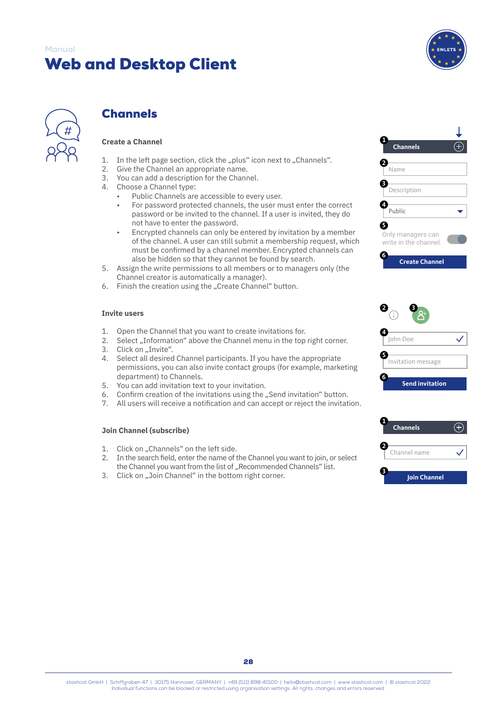# <span id="page-30-0"></span>**Manual**

# Web and Desktop Client





# **Channels**

# **Create a Channel**

- 1. In the left page section, click the "plus" icon next to "Channels".
- 2. Give the Channel an appropriate name.
- 3. You can add a description for the Channel.
- 4. Choose a Channel type:
	- Public Channels are accessible to every user.
	- For password protected channels, the user must enter the correct password or be invited to the channel. If a user is invited, they do not have to enter the password.
	- Encrypted channels can only be entered by invitation by a member of the channel. A user can still submit a membership request, which must be confirmed by a channel member. Encrypted channels can also be hidden so that they cannot be found by search.
- 5. Assign the write permissions to all members or to managers only (the Channel creator is automatically a manager).
- 6. Finish the creation using the "Create Channel" button.

### **Invite users**

- 1. Open the Channel that you want to create invitations for.
- 2. Select "Information" above the Channel menu in the top right corner.
- 3. Click on ..Invite".
- 4. Select all desired Channel participants. If you have the appropriate permissions, you can also invite contact groups (for example, marketing department) to Channels.
- 5. You can add invitation text to your invitation.
- 6. Confirm creation of the invitations using the "Send invitation" button.
- 7. All users will receive a notification and can accept or reject the invitation.

### **Join Channel (subscribe)**

- 1. Click on "Channels" on the left side.
- 2. In the search field, enter the name of the Channel you want to join, or select the Channel you want from the list of "Recommended Channels" list.
- 3. Click on "Join Channel" in the bottom right corner.





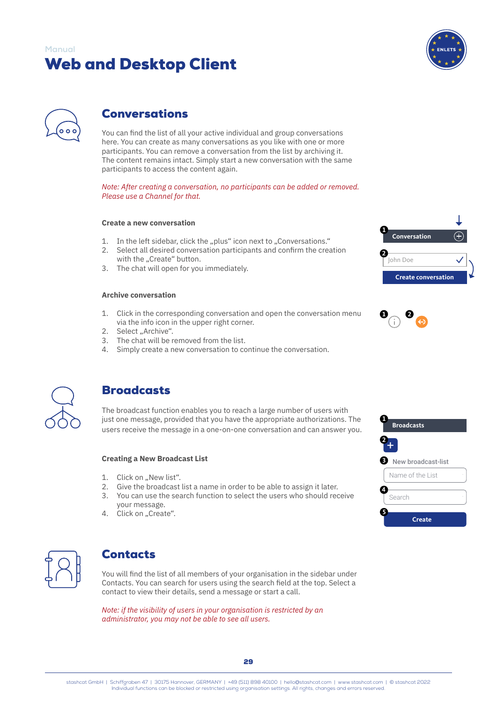

<span id="page-31-0"></span>

# Conversations

You can find the list of all your active individual and group conversations here. You can create as many conversations as you like with one or more participants. You can remove a conversation from the list by archiving it. The content remains intact. Simply start a new conversation with the same participants to access the content again.

*Note: After creating a conversation, no participants can be added or removed. Please use a Channel for that.*

### **Create a new conversation**

- 1. In the left sidebar, click the "plus" icon next to "Conversations."
- 2. Select all desired conversation participants and confirm the creation with the "Create" button.
- 3. The chat will open for you immediately.

### **Archive conversation**

- 1. Click in the corresponding conversation and open the conversation menu via the info icon in the upper right corner.
- 2. Select "Archive".
- 3. The chat will be removed from the list.
- 4. Simply create a new conversation to continue the conversation.







# **Broadcasts**

The broadcast function enables you to reach a large number of users with just one message, provided that you have the appropriate authorizations. The users receive the message in a one-on-one conversation and can answer you.

### **Creating a New Broadcast List**

- 1. Click on "New list".
- 2. Give the broadcast list a name in order to be able to assign it later.
- 3. You can use the search function to select the users who should receive your message.
- 4. Click on "Create".



# **Contacts**

You will find the list of all members of your organisation in the sidebar under Contacts. You can search for users using the search field at the top. Select a contact to view their details, send a message or start a call.

*Note: if the visibility of users in your organisation is restricted by an administrator, you may not be able to see all users.*



stashcat GmbH | Schiffgraben 47 | 30175 Hannover, GERMANY | +49 (511) 898 40100 | [hello@stashcat.com](mailto:hello%40stashcat.com?subject=Manual) | [www.stashcat.com](http://www.stashcat.com/en) | © stashcat 2022 Individual functions can be blocked or restricted using organisation settings. All rights, changes and errors reserved.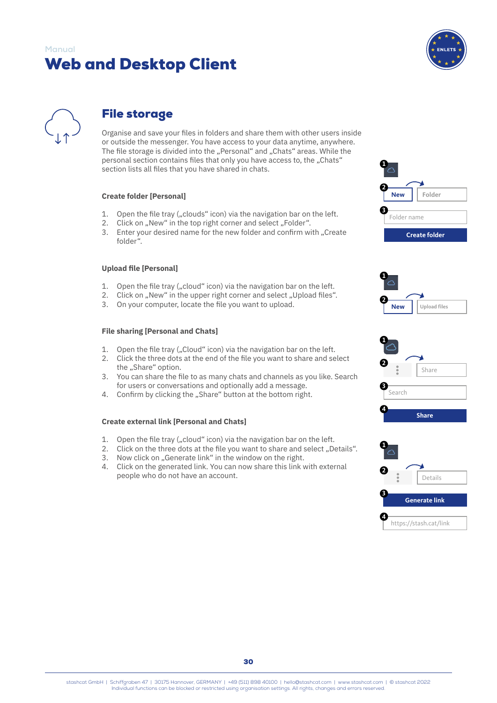

<span id="page-32-0"></span>

# File storage

Organise and save your files in folders and share them with other users inside or outside the messenger. You have access to your data anytime, anywhere. The file storage is divided into the "Personal" and "Chats" areas. While the personal section contains files that only you have access to, the "Chats" section lists all files that you have shared in chats.

### **Create folder [Personal]**

- 1. Open the file tray ("clouds" icon) via the navigation bar on the left.
- 2. Click on "New" in the top right corner and select "Folder".
- 3. Enter your desired name for the new folder and confirm with "Create folder".

# **Upload file [Personal]**

- 1. Open the file tray ("cloud" icon) via the navigation bar on the left.
- 2. Click on "New" in the upper right corner and select "Upload files".
- 3. On your computer, locate the file you want to upload.

### **File sharing [Personal and Chats]**

- 1. Open the file tray ("Cloud" icon) via the navigation bar on the left.
- 2. Click the three dots at the end of the file you want to share and select
- the "Share" option.
- 3. You can share the file to as many chats and channels as you like. Search for users or conversations and optionally add a message.
- 4. Confirm by clicking the "Share" button at the bottom right.

### **Create external link [Personal and Chats]**

- 1. Open the file tray ("cloud" icon) via the navigation bar on the left.
- 2. Click on the three dots at the file you want to share and select "Details".
- 3. Now click on "Generate link" in the window on the right.
- 4. Click on the generated link. You can now share this link with external people who do not have an account.







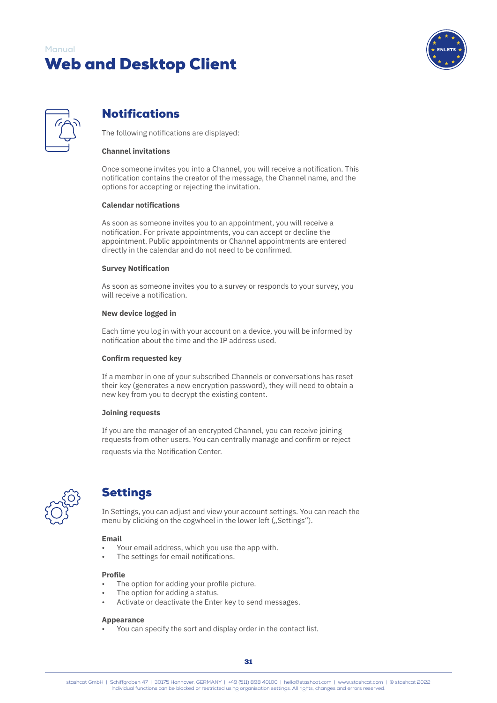

<span id="page-33-0"></span>

# Notifications

The following notifications are displayed:

### **Channel invitations**

Once someone invites you into a Channel, you will receive a notification. This notification contains the creator of the message, the Channel name, and the options for accepting or rejecting the invitation.

### **Calendar notifications**

As soon as someone invites you to an appointment, you will receive a notification. For private appointments, you can accept or decline the appointment. Public appointments or Channel appointments are entered directly in the calendar and do not need to be confirmed.

### **Survey Notification**

As soon as someone invites you to a survey or responds to your survey, you will receive a notification.

### **New device logged in**

Each time you log in with your account on a device, you will be informed by notification about the time and the IP address used.

### **Confirm requested key**

If a member in one of your subscribed Channels or conversations has reset their key (generates a new encryption password), they will need to obtain a new key from you to decrypt the existing content.

#### **Joining requests**

If you are the manager of an encrypted Channel, you can receive joining requests from other users. You can centrally manage and confirm or reject requests via the Notification Center.



# Settings

In Settings, you can adjust and view your account settings. You can reach the menu by clicking on the cogwheel in the lower left ("Settings").

### **Email**

- Your email address, which you use the app with.
- The settings for email notifications.

#### **Profile**

- The option for adding your profile picture.
- The option for adding a status.
- Activate or deactivate the Enter key to send messages.

#### **Appearance**

• You can specify the sort and display order in the contact list.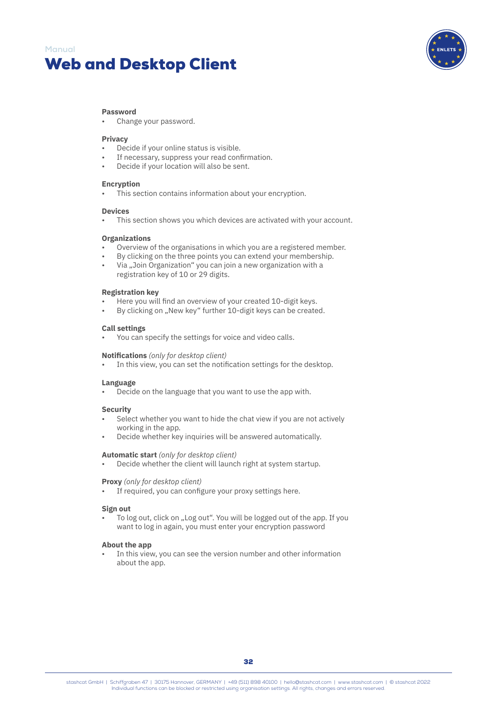

#### **Password**

• Change your password.

### **Privacy**

- Decide if your online status is visible.
- If necessary, suppress your read confirmation.
- Decide if your location will also be sent.

#### **Encryption**

This section contains information about your encryption.

#### **Devices**

This section shows you which devices are activated with your account.

#### **Organizations**

- Overview of the organisations in which you are a registered member.
- By clicking on the three points you can extend your membership.
- Via "Join Organization" you can join a new organization with a registration key of 10 or 29 digits.

#### **Registration key**

- Here you will find an overview of your created 10-digit keys.
- By clicking on "New key" further 10-digit keys can be created.

#### **Call settings**

• You can specify the settings for voice and video calls.

#### **Notifications** *(only for desktop client)*

In this view, you can set the notification settings for the desktop.

#### **Language**

• Decide on the language that you want to use the app with.

#### **Security**

- Select whether you want to hide the chat view if you are not actively working in the app.
- Decide whether key inquiries will be answered automatically.

#### **Automatic start** *(only for desktop client)*

• Decide whether the client will launch right at system startup.

#### **Proxy** *(only for desktop client)*

If required, you can configure your proxy settings here.

#### **Sign out**

To log out, click on "Log out". You will be logged out of the app. If you want to log in again, you must enter your encryption password

#### **About the app**

In this view, you can see the version number and other information about the app.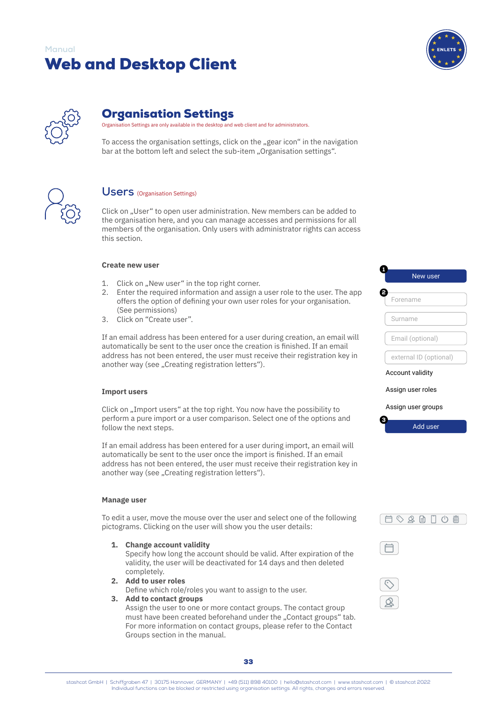

<span id="page-35-0"></span>

# Organisation Settings

Organisation Settings are only available in the desktop and web client and for administrators.

To access the organisation settings, click on the "gear icon" in the navigation bar at the bottom left and select the sub-item "Organisation settings".



# **Users** (Organisation Settings)

Click on "User" to open user administration. New members can be added to the organisation here, and you can manage accesses and permissions for all members of the organisation. Only users with administrator rights can access this section.

#### **Create new user**

- 1. Click on "New user" in the top right corner.
- 2. Enter the required information and assign a user role to the user. The app offers the option of defining your own user roles for your organisation. (See permissions)
- 3. Click on "Create user".

If an email address has been entered for a user during creation, an email will automatically be sent to the user once the creation is finished. If an email address has not been entered, the user must receive their registration key in another way (see "Creating registration letters").

#### **Import users**

Click on "Import users" at the top right. You now have the possibility to perform a pure import or a user comparison. Select one of the options and follow the next steps.

If an email address has been entered for a user during import, an email will automatically be sent to the user once the import is finished. If an email address has not been entered, the user must receive their registration key in another way (see "Creating registration letters").

#### **Manage user**

To edit a user, move the mouse over the user and select one of the following pictograms. Clicking on the user will show you the user details:

**1. Change account validity**

Specify how long the account should be valid. After expiration of the validity, the user will be deactivated for 14 days and then deleted completely.

**2. Add to user roles**

Define which role/roles you want to assign to the user.

# **3. Add to contact groups**

Assign the user to one or more contact groups. The contact group must have been created beforehand under the "Contact groups" tab. For more information on contact groups, please refer to the Contact Groups section in the manual.

| New user                |  |  |
|-------------------------|--|--|
|                         |  |  |
| Forename                |  |  |
|                         |  |  |
| Surname                 |  |  |
| Email (optional)        |  |  |
|                         |  |  |
| external ID (optional)  |  |  |
| <b>Account validity</b> |  |  |
|                         |  |  |
| Assign user roles       |  |  |
| Assign user groups      |  |  |



3

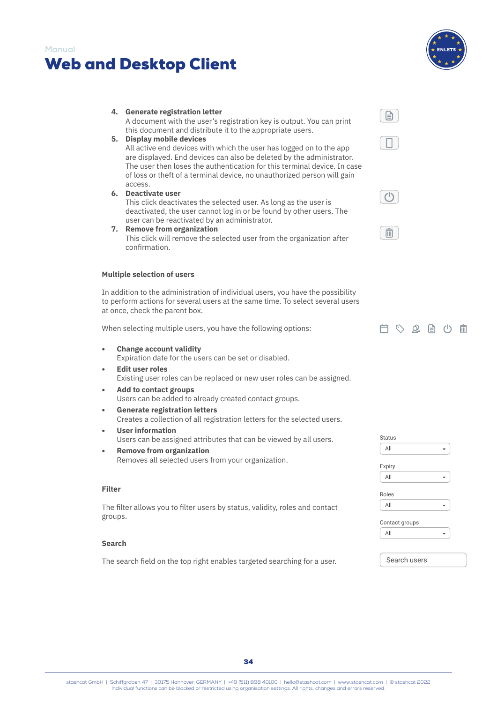# Web and Desktop Client

**4. Generate registration letter**

**Manual**



# this document and distribute it to the appropriate users. **5. Display mobile devices** All active end devices with which the user has logged on to the app are displayed. End devices can also be deleted by the administrator. The user then loses the authentication for this terminal device. In case of loss or theft of a terminal device, no unauthorized person will gain access. **6. Deactivate user** This click deactivates the selected user. As long as the user is deactivated, the user cannot log in or be found by other users. The user can be reactivated by an administrator. **7. Remove from organization** This click will remove the selected user from the organization after confirmation. **Multiple selection of users** In addition to the administration of individual users, you have the possibility to perform actions for several users at the same time. To select several users at once, check the parent box. Ć When selecting multiple users, you have the following options: **• Change account validity** Expiration date for the users can be set or disabled. **• Edit user roles** Existing user roles can be replaced or new user roles can be assigned. **• Add to contact groups** Users can be added to already created contact groups. **• Generate registration letters**

A document with the user's registration key is output. You can print

- Creates a collection of all registration letters for the selected users.
- **• User information** Users can be assigned attributes that can be viewed by all users.
- **• Remove from organization** Removes all selected users from your organization.

### **Filter**

The filter allows you to filter users by status, validity, roles and contact groups.

#### **Search**

The search field on the top right enables targeted searching for a user.







| ば | $\beta$ | ⊟ | $\sqrt{2}$ | 画 |
|---|---------|---|------------|---|
|   |         |   |            |   |

| <b>Status</b>  |  |
|----------------|--|
| All            |  |
| Expiry         |  |
| All            |  |
| Roles          |  |
| All            |  |
| Contact groups |  |
| All            |  |
|                |  |
| Search users   |  |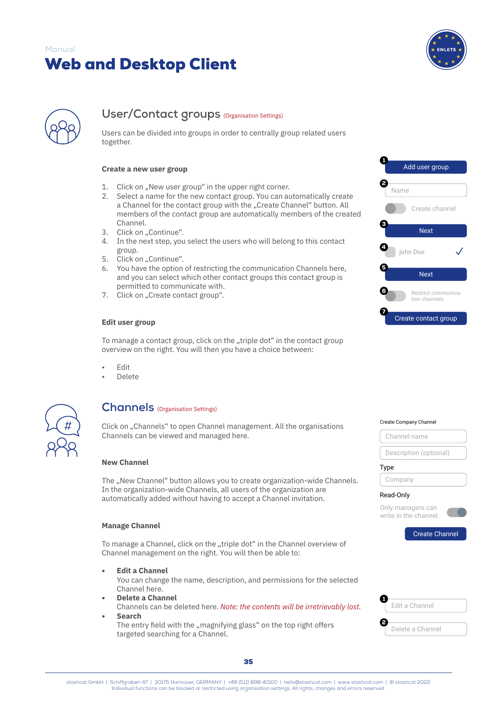

<span id="page-37-0"></span>

# User/Contact groups (Organisation Settings)

Users can be divided into groups in order to centrally group related users together.

#### **Create a new user group**

- 1. Click on "New user group" in the upper right corner.
- 2. Select a name for the new contact group. You can automatically create a Channel for the contact group with the "Create Channel" button. All members of the contact group are automatically members of the created Channel.
- 3. Click on "Continue".
- 4. In the next step, you select the users who will belong to this contact group.
- 5. Click on "Continue".
- 6. You have the option of restricting the communication Channels here, and you can select which other contact groups this contact group is permitted to communicate with.
- 7. Click on "Create contact group".

#### **Edit user group**

To manage a contact group, click on the "triple dot" in the contact group overview on the right. You will then you have a choice between:

- Edit
- Delete



# **Channels** (Organisation Settings)

Click on "Channels" to open Channel management. All the organisations Channels can be viewed and managed here.

#### **New Channel**

The "New Channel" button allows you to create organization-wide Channels. In the organization-wide Channels, all users of the organization are automatically added without having to accept a Channel invitation.

#### **Manage Channel**

To manage a Channel, click on the "triple dot" in the Channel overview of Channel management on the right. You will then be able to:

- **• Edit a Channel** You can change the name, description, and permissions for the selected Channel here.
- **• Delete a Channel** Channels can be deleted here. *Note: the contents will be irretrievably lost.*
- **• Search** The entry field with the "magnifying glass" on the top right offers targeted searching for a Channel.





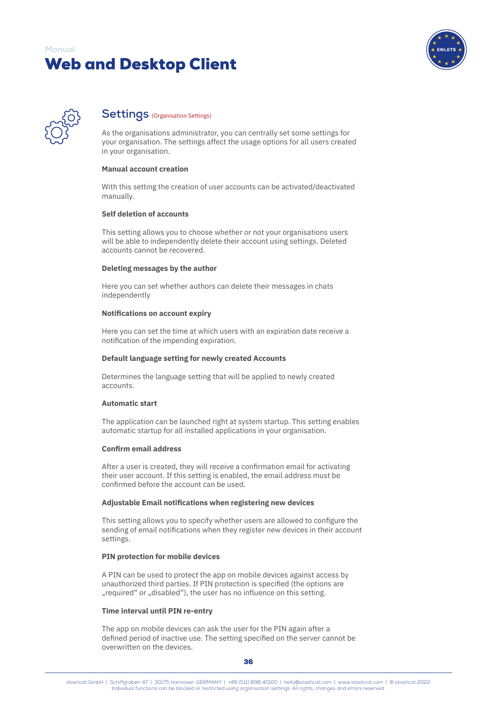

<span id="page-38-0"></span>

# **Settings** (Organisation Settings)

As the organisations administrator, you can centrally set some settings for your organisation. The settings affect the usage options for all users created in your organisation.

#### **Manual account creation**

With this setting the creation of user accounts can be activated/deactivated manually.

### **Self deletion of accounts**

This setting allows you to choose whether or not your organisations users will be able to independently delete their account using settings. Deleted accounts cannot be recovered.

#### **Deleting messages by the author**

Here you can set whether authors can delete their messages in chats independently

#### **Notifications on account expiry**

Here you can set the time at which users with an expiration date receive a notification of the impending expiration.

### **Default language setting for newly created Accounts**

Determines the language setting that will be applied to newly created accounts.

### **Automatic start**

The application can be launched right at system startup. This setting enables automatic startup for all installed applications in your organisation.

### **Confirm email address**

After a user is created, they will receive a confirmation email for activating their user account. If this setting is enabled, the email address must be confirmed before the account can be used.

### **Adjustable Email notifications when registering new devices**

This setting allows you to specify whether users are allowed to configure the sending of email notifications when they register new devices in their account settings.

### **PIN protection for mobile devices**

A PIN can be used to protect the app on mobile devices against access by unauthorized third parties. If PIN protection is specified (the options are ... required" or ..disabled"), the user has no influence on this setting.

### **Time interval until PIN re-entry**

The app on mobile devices can ask the user for the PIN again after a defined period of inactive use. The setting specified on the server cannot be overwritten on the devices.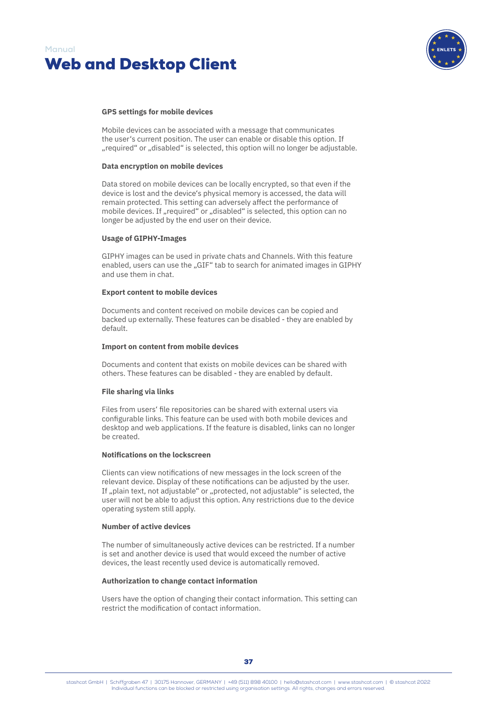



#### **GPS settings for mobile devices**

Mobile devices can be associated with a message that communicates the user's current position. The user can enable or disable this option. If "required" or "disabled" is selected, this option will no longer be adjustable.

#### **Data encryption on mobile devices**

Data stored on mobile devices can be locally encrypted, so that even if the device is lost and the device's physical memory is accessed, the data will remain protected. This setting can adversely affect the performance of mobile devices. If "required" or "disabled" is selected, this option can no longer be adjusted by the end user on their device.

#### **Usage of GIPHY-Images**

GIPHY images can be used in private chats and Channels. With this feature enabled, users can use the "GIF" tab to search for animated images in GIPHY and use them in chat.

#### **Export content to mobile devices**

Documents and content received on mobile devices can be copied and backed up externally. These features can be disabled - they are enabled by default.

#### **Import on content from mobile devices**

Documents and content that exists on mobile devices can be shared with others. These features can be disabled - they are enabled by default.

#### **File sharing via links**

Files from users' file repositories can be shared with external users via configurable links. This feature can be used with both mobile devices and desktop and web applications. If the feature is disabled, links can no longer be created.

### **Notifications on the lockscreen**

Clients can view notifications of new messages in the lock screen of the relevant device. Display of these notifications can be adjusted by the user. If "plain text, not adjustable" or "protected, not adjustable" is selected, the user will not be able to adjust this option. Any restrictions due to the device operating system still apply.

#### **Number of active devices**

The number of simultaneously active devices can be restricted. If a number is set and another device is used that would exceed the number of active devices, the least recently used device is automatically removed.

#### **Authorization to change contact information**

Users have the option of changing their contact information. This setting can restrict the modification of contact information.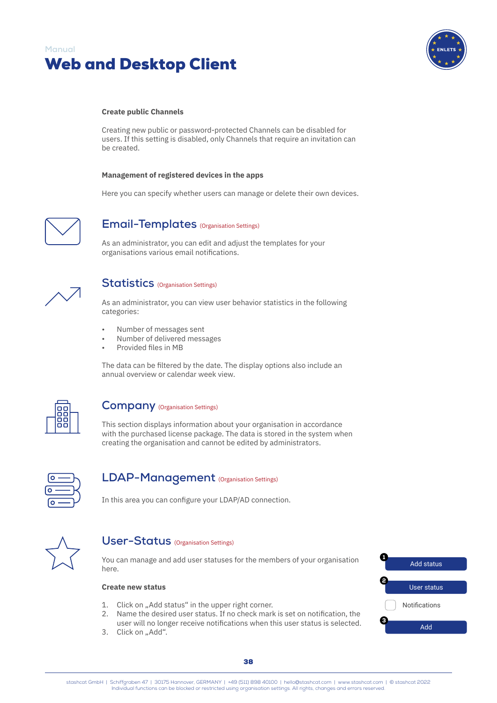<span id="page-40-0"></span>



#### **Create public Channels**

Creating new public or password-protected Channels can be disabled for users. If this setting is disabled, only Channels that require an invitation can be created.

#### **Management of registered devices in the apps**

Here you can specify whether users can manage or delete their own devices.



# **Email-Templates** (Organisation Settings)

As an administrator, you can edit and adjust the templates for your organisations various email notifications.



# **Statistics** (Organisation Settings)

As an administrator, you can view user behavior statistics in the following categories:

- Number of messages sent
- Number of delivered messages
- Provided files in MB

The data can be filtered by the date. The display options also include an annual overview or calendar week view.



# **Company** (Organisation Settings)

This section displays information about your organisation in accordance with the purchased license package. The data is stored in the system when creating the organisation and cannot be edited by administrators.



# **LDAP-Management** (Organisation Settings)

In this area you can configure your LDAP/AD connection.



# **User-Status** (Organisation Settings)

You can manage and add user statuses for the members of your organisation here.

### **Create new status**

- 1. Click on "Add status" in the upper right corner.
- 2. Name the desired user status. If no check mark is set on notification, the user will no longer receive notifications when this user status is selected.
- 3. Click on "Add".

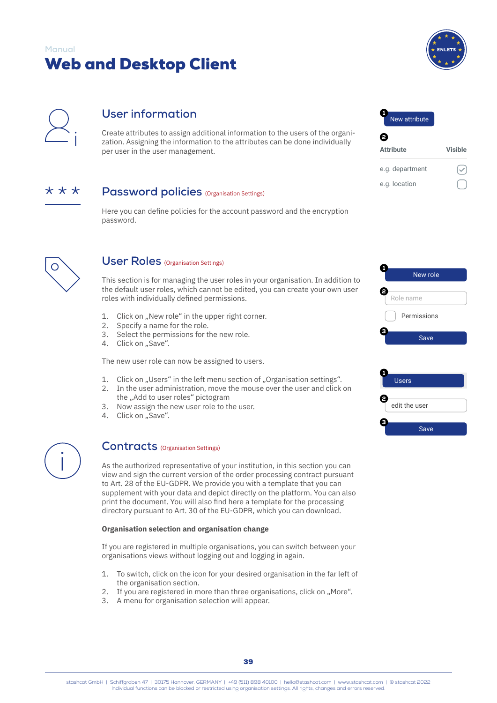

 $\overline{\vee}$ 

<span id="page-41-0"></span>

# **User information**

Create attributes to assign additional information to the users of the organization. Assigning the information to the attributes can be done individually per user in the user management.



# **Password policies** (Organisation Settings)

Here you can define policies for the account password and the encryption password.



# **User Roles** (Organisation Settings)

This section is for managing the user roles in your organisation. In addition to the default user roles, which cannot be edited, you can create your own user roles with individually defined permissions.

- 1. Click on "New role" in the upper right corner.
- 2. Specify a name for the role.<br>3. Select the permissions for t
- Select the permissions for the new role.
- 4. Click on "Save".

The new user role can now be assigned to users.

- 1. Click on "Users" in the left menu section of "Organisation settings".
- 2. In the user administration, move the mouse over the user and click on
- the "Add to user roles" pictogram 3. Now assign the new user role to the user.
- 4. Click on "Save".



# **Contracts** (Organisation Settings)

As the authorized representative of your institution, in this section you can view and sign the current version of the order processing contract pursuant to Art. 28 of the EU-GDPR. We provide you with a template that you can supplement with your data and depict directly on the platform. You can also print the document. You will also find here a template for the processing directory pursuant to Art. 30 of the EU-GDPR, which you can download.

### **Organisation selection and organisation change**

If you are registered in multiple organisations, you can switch between your organisations views without logging out and logging in again.

- 1. To switch, click on the icon for your desired organisation in the far left of the organisation section.
- 2. If you are registered in more than three organisations, click on "More".
- 3. A menu for organisation selection will appear.



e.g. location

| New role    |
|-------------|
|             |
| Role name   |
| Permissions |
| Save        |
|             |
|             |

|   | <b>Users</b>  |
|---|---------------|
|   |               |
|   | edit the user |
| Э |               |
|   | Save          |
|   |               |

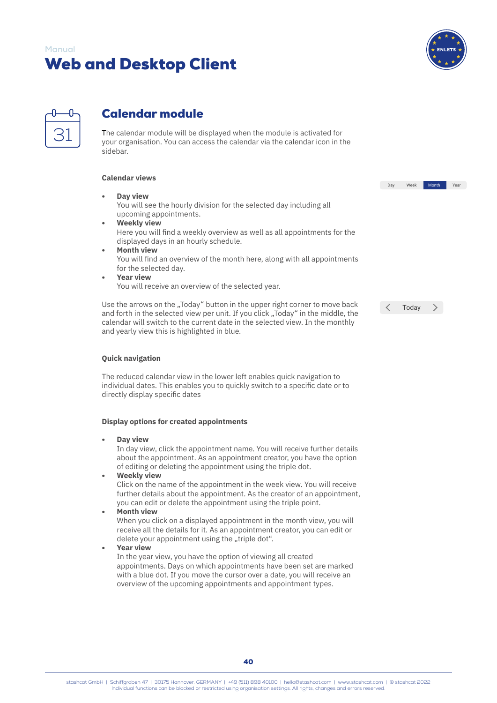

<span id="page-42-0"></span>

# Calendar module

The calendar module will be displayed when the module is activated for your organisation. You can access the calendar via the calendar icon in the sidebar.

# **Calendar views**

**• Day view**

You will see the hourly division for the selected day including all upcoming appointments.

- **• Weekly view** Here you will find a weekly overview as well as all appointments for the displayed days in an hourly schedule.
- **• Month view** You will find an overview of the month here, along with all appointments for the selected day.
- **• Year view** You will receive an overview of the selected year.

Use the arrows on the "Today" button in the upper right corner to move back and forth in the selected view per unit. If you click "Today" in the middle, the calendar will switch to the current date in the selected view. In the monthly and yearly view this is highlighted in blue.

| Today |  |
|-------|--|
|       |  |

Day Week Month Year

### **Quick navigation**

The reduced calendar view in the lower left enables quick navigation to individual dates. This enables you to quickly switch to a specific date or to directly display specific dates

### **Display options for created appointments**

**• Day view**

In day view, click the appointment name. You will receive further details about the appointment. As an appointment creator, you have the option of editing or deleting the appointment using the triple dot.

**• Weekly view**

Click on the name of the appointment in the week view. You will receive further details about the appointment. As the creator of an appointment, you can edit or delete the appointment using the triple point.

**• Month view**

When you click on a displayed appointment in the month view, you will receive all the details for it. As an appointment creator, you can edit or delete your appointment using the "triple dot".

### **• Year view**

In the year view, you have the option of viewing all created appointments. Days on which appointments have been set are marked with a blue dot. If you move the cursor over a date, you will receive an overview of the upcoming appointments and appointment types.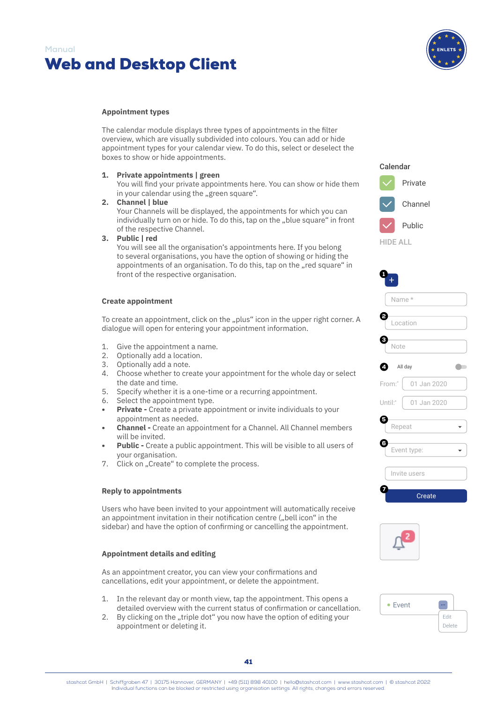



#### **Appointment types**

The calendar module displays three types of appointments in the filter overview, which are visually subdivided into colours. You can add or hide appointment types for your calendar view. To do this, select or deselect the boxes to show or hide appointments.

**1. Private appointments | green**

You will find your private appointments here. You can show or hide them in your calendar using the "green square".

- **2. Channel | blue** Your Channels will be displayed, the appointments for which you can individually turn on or hide. To do this, tap on the "blue square" in front of the respective Channel.
- **3. Public | red**

You will see all the organisation's appointments here. If you belong to several organisations, you have the option of showing or hiding the appointments of an organisation. To do this, tap on the "red square" in front of the respective organisation.

#### **Create appointment**

To create an appointment, click on the "plus" icon in the upper right corner. A dialogue will open for entering your appointment information.

- 1. Give the appointment a name.
- 2. Optionally add a location.
- 3. Optionally add a note.
- 4. Choose whether to create your appointment for the whole day or select the date and time.
- 5. Specify whether it is a one-time or a recurring appointment.
- 6. Select the appointment type.
- **• Private -** Create a private appointment or invite individuals to your appointment as needed.
- **• Channel -** Create an appointment for a Channel. All Channel members will be invited.
- **• Public -** Create a public appointment. This will be visible to all users of your organisation.
- 7. Click on "Create" to complete the process.

# **Reply to appointments**

Users who have been invited to your appointment will automatically receive an appointment invitation in their notification centre ("bell icon" in the sidebar) and have the option of confirming or cancelling the appointment.

### **Appointment details and editing**

As an appointment creator, you can view your confirmations and cancellations, edit your appointment, or delete the appointment.

- 1. In the relevant day or month view, tap the appointment. This opens a detailed overview with the current status of confirmation or cancellation.
- 2. By clicking on the "triple dot" you now have the option of editing your appointment or deleting it.



Calendar

| 1                       |
|-------------------------|
| Name*                   |
| Location                |
| з<br>Note               |
| 4<br>All day            |
| From:*<br>$01$ Jan 2020 |
| Until:*<br>01 Jan 2020  |
| B<br>Repeat             |
| 6<br>Event type:        |
| Invite users            |
| Create                  |



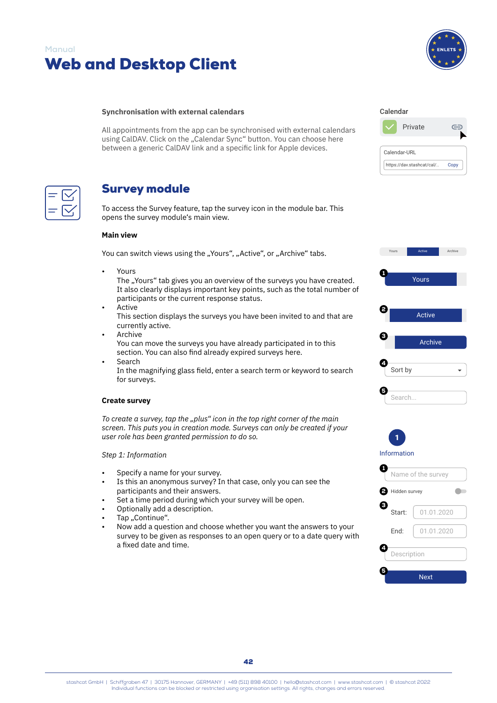<span id="page-44-0"></span>



#### **Synchronisation with external calendars**

All appointments from the app can be synchronised with external calendars using CalDAV. Click on the "Calendar Sync" button. You can choose here between a generic CalDAV link and a specific link for Apple devices.

# Survey module

To access the Survey feature, tap the survey icon in the module bar. This opens the survey module's main view.

### **Main view**

You can switch views using the "Yours", "Active", or "Archive" tabs.

• Yours

The "Yours" tab gives you an overview of the surveys you have created. It also clearly displays important key points, such as the total number of participants or the current response status.

- Active This section displays the surveys you have been invited to and that are currently active.
- **Archive** You can move the surveys you have already participated in to this section. You can also find already expired surveys here.
- **Search**

In the magnifying glass field, enter a search term or keyword to search for surveys.

#### **Create survey**

*To create a survey, tap the "plus" icon in the top right corner of the main screen. This puts you in creation mode. Surveys can only be created if your user role has been granted permission to do so.*

### *Step 1: Information*

- Specify a name for your survey.
- Is this an anonymous survey? In that case, only you can see the participants and their answers.
- Set a time period during which your survey will be open.
- Optionally add a description.
- Tap ..Continue".
- Now add a question and choose whether you want the answers to your survey to be given as responses to an open query or to a date query with a fixed date and time.

| Calendar     |                           |      |
|--------------|---------------------------|------|
|              | Private                   |      |
| Calendar-URL |                           |      |
|              | https://dav.stashcat/cal/ | Copy |



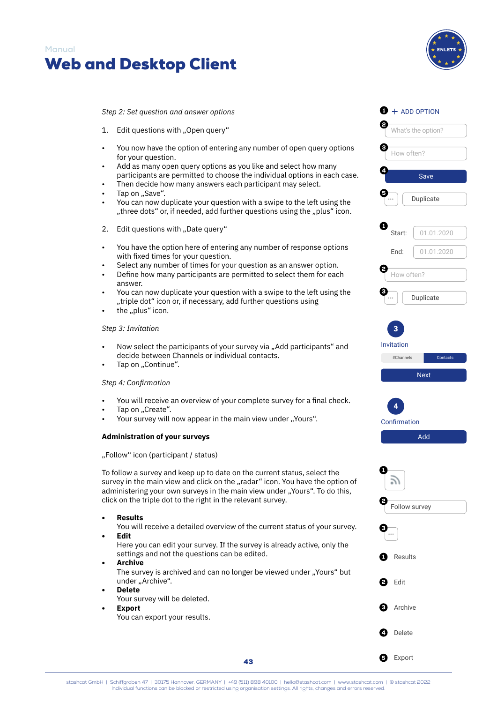



*Step 2: Set question and answer options*

- 1. Edit questions with "Open query"
- You now have the option of entering any number of open query options for your question.
- 
- Add as many open query options as you like and select how many participants are permitted to choose the individual options in each case.
- Then decide how many answers each participant may select.
- Tap on "Save".
- You can now duplicate your question with a swipe to the left using the "three dots" or, if needed, add further questions using the "plus" icon.
- 2. Edit questions with "Date query"
- You have the option here of entering any number of response options with fixed times for your question.
- Select any number of times for your question as an answer option.
- Define how many participants are permitted to select them for each answer.
- You can now duplicate your question with a swipe to the left using the "triple dot" icon or, if necessary, add further questions using
- the "plus" icon.

### *Step 3: Invitation*

- Now select the participants of your survey via "Add participants" and decide between Channels or individual contacts.
- Tap on "Continue".

# *Step 4: Confirmation*

- You will receive an overview of your complete survey for a final check.
- Tap on "Create".
- Your survey will now appear in the main view under "Yours".

# **Administration of your surveys**

"Follow" icon (participant / status)

To follow a survey and keep up to date on the current status, select the survey in the main view and click on the "radar" icon. You have the option of administering your own surveys in the main view under "Yours". To do this, click on the triple dot to the right in the relevant survey.

- **• Results**
	- You will receive a detailed overview of the current status of your survey. **• Edit**

Here you can edit your survey. If the survey is already active, only the settings and not the questions can be edited.

- **• Archive** The survey is archived and can no longer be viewed under "Yours" but under "Archive".
- **• Delete**
	- Your survey will be deleted.
	- **• Export** You can export your results.

# $\bullet$  + ADD OPTION 2 What's the option? 6 How often? 4 Save 5 ... Duplicate 61 Start: 01.01.2020 End: 01.01.2020 2 How often? 3 ... Duplicate 3 Invitation #Channels Contacts Next 4 Confirmation Add 1 5) 2 Follow survey 3 ... **Results**

**Edit** 

**Delete** 

**6** Export

Archive